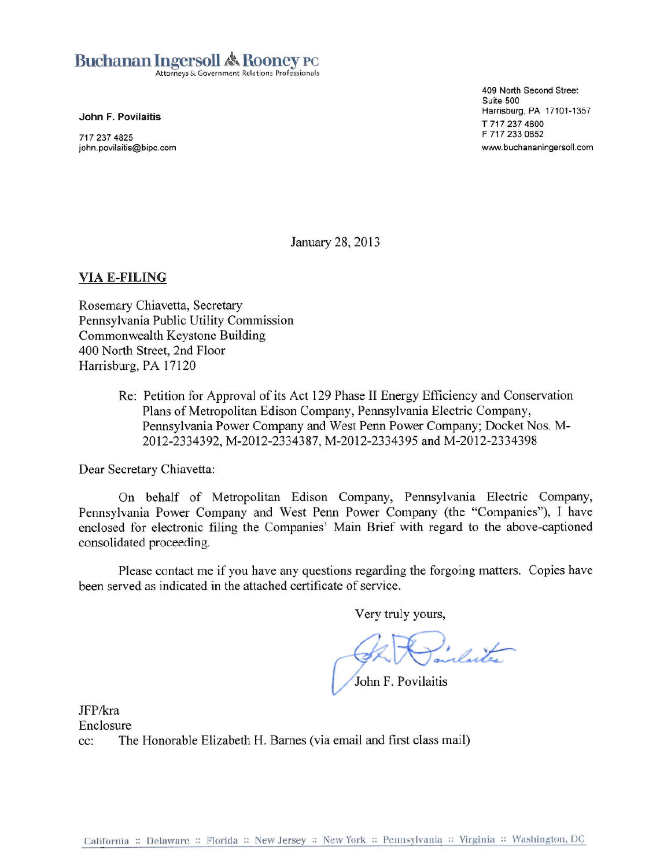# **Buchanan Ingersoll & Rooney PC**

Attorneys & Government Relations Professionals

John F. Povilaitis

717 237 4825 john.povilaitis@bipc.com 409 North Second Street Suite 500 Harrisburg, PA 17101-1357 T 717 237 4800 F 717 233 0852 www.buchananingersoll.com

January 28, 2013

### **VIA E-FILING**

Rosemary Chiavetta, Secretary Pennsylvania Public Utility Commission Commonwealth Keystone Building 400 North Street, 2nd Floor Harrisburg, PA 17120

> Re: Petition for Approval of its Act 129 Phase II Energy Efficiency and Conservation Plans of Metropolitan Edison Company, Pennsylvania Electric Company, Pennsylvania Power Company and West Penn Power Company; Docket Nos. M-2012-2334392, M-2012-2334387, M-2012-2334395 and M-2012-2334398

Dear Secretary Chiavetta:

On behalf of Metropolitan Edison Company, Pennsylvania Electric Company, Pennsylvania Power Company and West Penn Power Company (the "Companies"), I have enclosed for electronic filing the Companies' Main Brief with regard to the above-captioned consolidated proceeding.

Please contact me if you have any questions regarding the forgoing matters. Copies have been served as indicated in the attached certificate of service.

Very truly yours,

Indicte

John F. Povilaitis

JFP/kra Enclosure The Honorable Elizabeth H. Barnes (via email and first class mail)  $cc$ :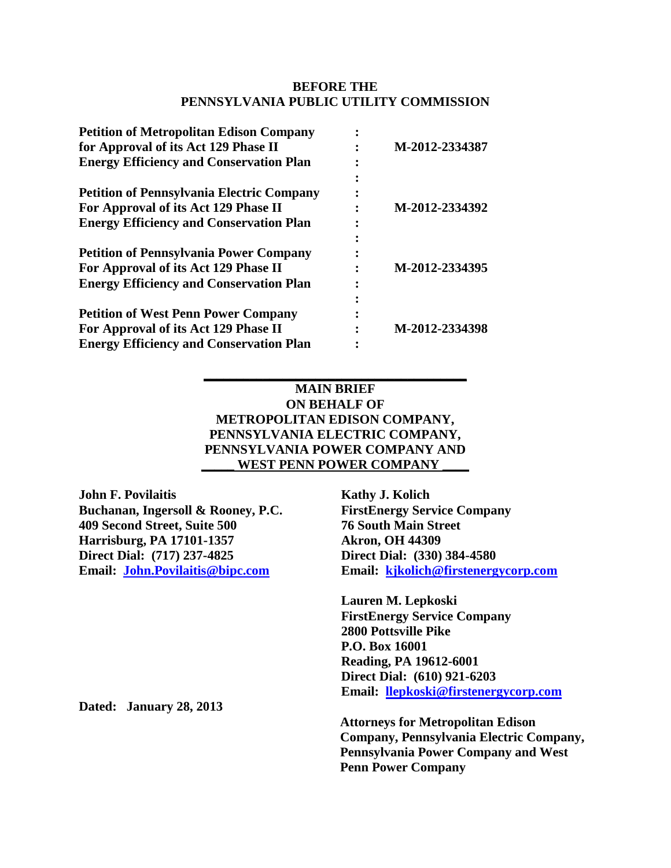#### **BEFORE THE PENNSYLVANIA PUBLIC UTILITY COMMISSION**

| <b>Petition of Metropolitan Edison Company</b>   |                |
|--------------------------------------------------|----------------|
| for Approval of its Act 129 Phase II             | M-2012-2334387 |
| <b>Energy Efficiency and Conservation Plan</b>   |                |
| <b>Petition of Pennsylvania Electric Company</b> |                |
| For Approval of its Act 129 Phase II             | M-2012-2334392 |
| <b>Energy Efficiency and Conservation Plan</b>   |                |
| <b>Petition of Pennsylvania Power Company</b>    |                |
| For Approval of its Act 129 Phase II             | M-2012-2334395 |
| <b>Energy Efficiency and Conservation Plan</b>   |                |
| <b>Petition of West Penn Power Company</b>       |                |
| For Approval of its Act 129 Phase II             | M-2012-2334398 |
| <b>Energy Efficiency and Conservation Plan</b>   |                |

## **MAIN BRIEF ON BEHALF OF METROPOLITAN EDISON COMPANY, PENNSYLVANIA ELECTRIC COMPANY, PENNSYLVANIA POWER COMPANY AND** WEST PENN POWER COMPANY

**\_\_\_\_\_\_\_\_\_\_\_\_\_\_\_\_\_\_\_\_\_\_\_\_\_\_\_\_\_\_\_\_\_\_\_\_\_\_\_\_**

**John F. Povilaitis Buchanan, Ingersoll & Rooney, P.C. 409 Second Street, Suite 500 Harrisburg, PA 17101-1357 Direct Dial: (717) 237-4825 Email: [John.Povilaitis@bipc.com](mailto:John.Povilaitis@bipc.com)**

**Kathy J. Kolich FirstEnergy Service Company 76 South Main Street Akron, OH 44309 Direct Dial: (330) 384-4580 Email: [kjkolich@firstenergycorp.com](mailto:kjkolich@firstenergycorp.com)**

**Lauren M. Lepkoski FirstEnergy Service Company 2800 Pottsville Pike P.O. Box 16001 Reading, PA 19612-6001 Direct Dial: (610) 921-6203 Email: [llepkoski@firstenergycorp.com](mailto:llepkoski@firstenergycorp.com)**

**Attorneys for Metropolitan Edison Company, Pennsylvania Electric Company, Pennsylvania Power Company and West Penn Power Company**

**Dated: January 28, 2013**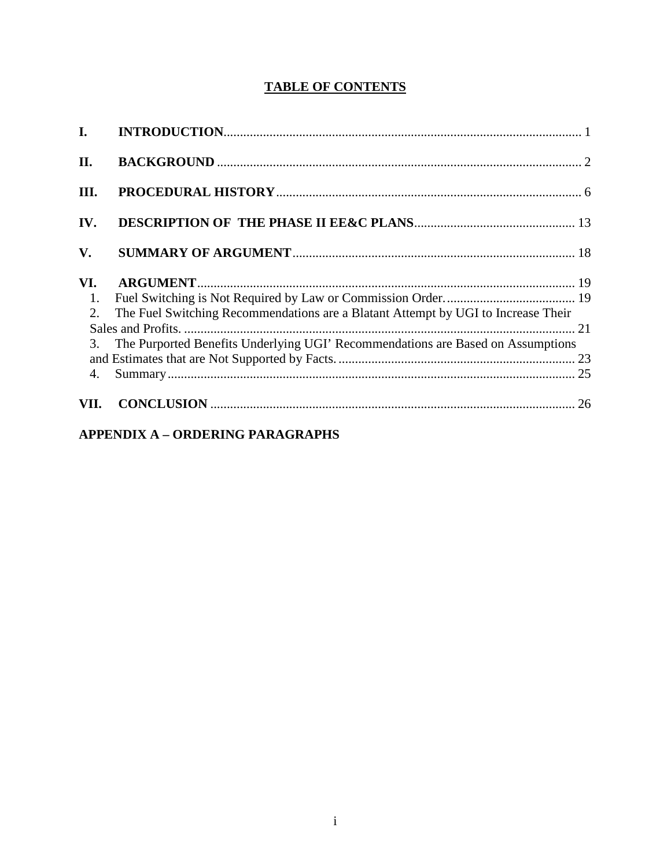# **TABLE OF CONTENTS**

| $\mathbf{I}$ . |                                                                                   |  |
|----------------|-----------------------------------------------------------------------------------|--|
| II.            |                                                                                   |  |
| III.           |                                                                                   |  |
| IV.            |                                                                                   |  |
| V.             |                                                                                   |  |
| VI.            |                                                                                   |  |
| 1.             |                                                                                   |  |
| 2.             | The Fuel Switching Recommendations are a Blatant Attempt by UGI to Increase Their |  |
|                |                                                                                   |  |
| 3.             | The Purported Benefits Underlying UGI' Recommendations are Based on Assumptions   |  |
|                |                                                                                   |  |
| 4.             |                                                                                   |  |
| VII.           |                                                                                   |  |

# **APPENDIX A - ORDERING PARAGRAPHS**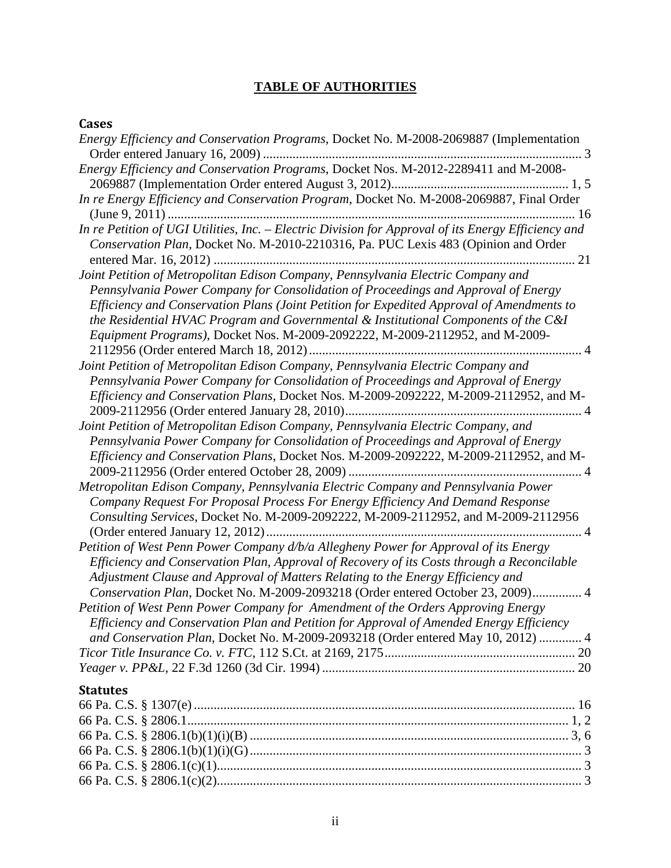# **TABLE OF AUTHORITIES**

## **Cases**

| Energy Efficiency and Conservation Programs, Docket No. M-2008-2069887 (Implementation<br>$\ldots$ 3                                                                                                                                                                                                                                                                                                                                          |
|-----------------------------------------------------------------------------------------------------------------------------------------------------------------------------------------------------------------------------------------------------------------------------------------------------------------------------------------------------------------------------------------------------------------------------------------------|
| Energy Efficiency and Conservation Programs, Docket Nos. M-2012-2289411 and M-2008-                                                                                                                                                                                                                                                                                                                                                           |
| In re Energy Efficiency and Conservation Program, Docket No. M-2008-2069887, Final Order                                                                                                                                                                                                                                                                                                                                                      |
| In re Petition of UGI Utilities, Inc. - Electric Division for Approval of its Energy Efficiency and<br>Conservation Plan, Docket No. M-2010-2210316, Pa. PUC Lexis 483 (Opinion and Order                                                                                                                                                                                                                                                     |
| Joint Petition of Metropolitan Edison Company, Pennsylvania Electric Company and<br>Pennsylvania Power Company for Consolidation of Proceedings and Approval of Energy<br>Efficiency and Conservation Plans (Joint Petition for Expedited Approval of Amendments to<br>the Residential HVAC Program and Governmental $\&$ Institutional Components of the C&I<br>Equipment Programs), Docket Nos. M-2009-2092222, M-2009-2112952, and M-2009- |
| Joint Petition of Metropolitan Edison Company, Pennsylvania Electric Company and<br>Pennsylvania Power Company for Consolidation of Proceedings and Approval of Energy<br>Efficiency and Conservation Plans, Docket Nos. M-2009-2092222, M-2009-2112952, and M-                                                                                                                                                                               |
| Joint Petition of Metropolitan Edison Company, Pennsylvania Electric Company, and<br>Pennsylvania Power Company for Consolidation of Proceedings and Approval of Energy<br>Efficiency and Conservation Plans, Docket Nos. M-2009-2092222, M-2009-2112952, and M-                                                                                                                                                                              |
| Metropolitan Edison Company, Pennsylvania Electric Company and Pennsylvania Power<br>Company Request For Proposal Process For Energy Efficiency And Demand Response<br>Consulting Services, Docket No. M-2009-2092222, M-2009-2112952, and M-2009-2112956<br>$\overline{4}$                                                                                                                                                                   |
| Petition of West Penn Power Company d/b/a Allegheny Power for Approval of its Energy<br>Efficiency and Conservation Plan, Approval of Recovery of its Costs through a Reconcilable<br>Adjustment Clause and Approval of Matters Relating to the Energy Efficiency and<br>Conservation Plan, Docket No. M-2009-2093218 (Order entered October 23, 2009) 4                                                                                      |
| Petition of West Penn Power Company for Amendment of the Orders Approving Energy<br>Efficiency and Conservation Plan and Petition for Approval of Amended Energy Efficiency<br>and Conservation Plan, Docket No. M-2009-2093218 (Order entered May 10, 2012)  4                                                                                                                                                                               |
| <b>Statutes</b><br>$66P_3$ $CS$ $8$ $28061$<br>1 <sub>2</sub>                                                                                                                                                                                                                                                                                                                                                                                 |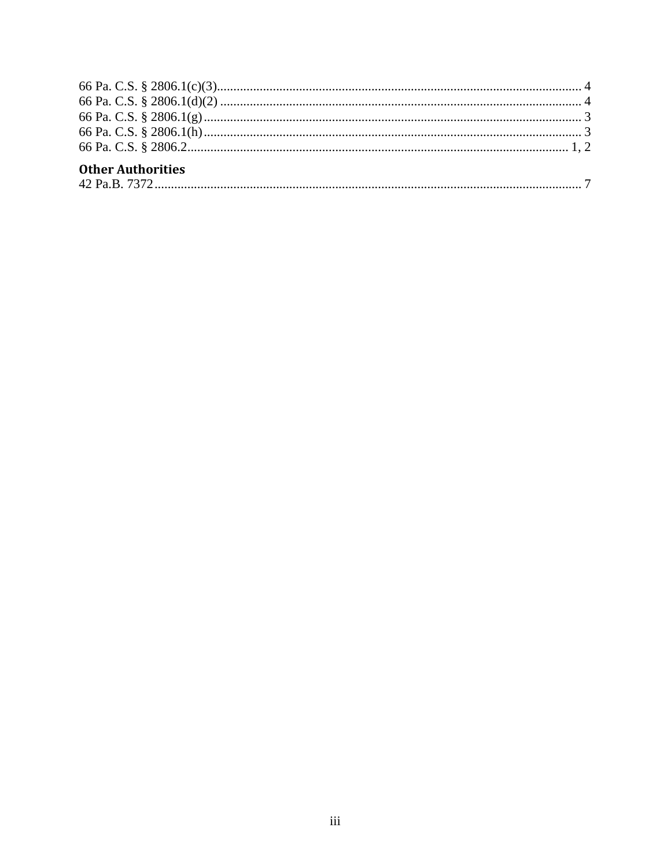| <b>Other Authorities</b> |  |
|--------------------------|--|

| $\Delta$ ? P |
|--------------|
|--------------|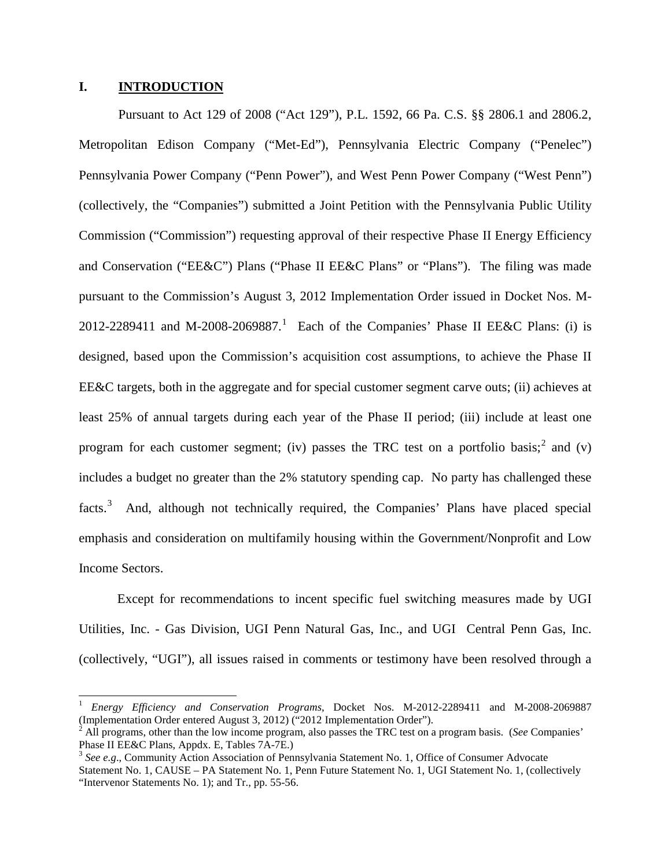#### <span id="page-5-0"></span>**I. INTRODUCTION**

Pursuant to Act 129 of 2008 ("Act 129"), P.L. 1592, 66 Pa. C.S. §§ 2806.1 and 2806.2, Metropolitan Edison Company ("Met-Ed"), Pennsylvania Electric Company ("Penelec") Pennsylvania Power Company ("Penn Power"), and West Penn Power Company ("West Penn") (collectively, the "Companies") submitted a Joint Petition with the Pennsylvania Public Utility Commission ("Commission") requesting approval of their respective Phase II Energy Efficiency and Conservation ("EE&C") Plans ("Phase II EE&C Plans" or "Plans"). The filing was made pursuant to the Commission's August 3, 2012 Implementation Order issued in Docket Nos. M-2012-2289411 and M-2008-2069887.<sup>1</sup> Each of the Companies' Phase II EE&C Plans: (i) is designed, based upon the Commission's acquisition cost assumptions, to achieve the Phase II EE&C targets, both in the aggregate and for special customer segment carve outs; (ii) achieves at least 25% of annual targets during each year of the Phase II period; (iii) include at least one program for each customer segment; (iv) passes the TRC test on a portfolio basis;<sup>2</sup> and (v) includes a budget no greater than the 2% statutory spending cap. No party has challenged these facts.<sup>3</sup> And, although not technically required, the Companies' Plans have placed special emphasis and consideration on multifamily housing within the Government/Nonprofit and Low Income Sectors.

Except for recommendations to incent specific fuel switching measures made by UGI Utilities, Inc. - Gas Division, UGI Penn Natural Gas, Inc., and UGI Central Penn Gas, Inc. (collectively, "UGI"), all issues raised in comments or testimony have been resolved through a

<sup>&</sup>lt;sup>1</sup> *Energy Efficiency and Conservation Programs*, Docket Nos. M-2012-2289411 and M-2008-2069887 (Implementation Order entered August 3, 2012) ("2012 Implementation Order").

<sup>&</sup>lt;sup>2</sup> All programs, other than the low income program, also passes the TRC test on a program basis. (*See* Companies' Phase II EE&C Plans, Appdx. E, Tables 7A-7E.)

<sup>&</sup>lt;sup>3</sup> See e.g., Community Action Association of Pennsylvania Statement No. 1, Office of Consumer Advocate Statement No. 1, CAUSE – PA Statement No. 1, Penn Future Statement No. 1, UGI Statement No. 1, (collectively "Intervenor Statements No. 1); and Tr., pp. 55-56.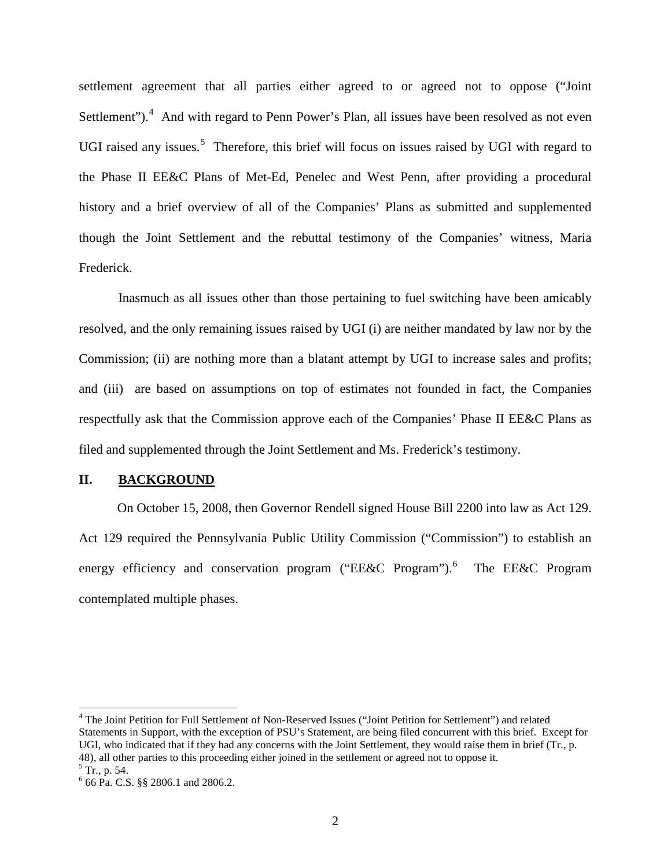<span id="page-6-0"></span>settlement agreement that all parties either agreed to or agreed not to oppose ("Joint Settlement"). $4$  And with regard to Penn Power's Plan, all issues have been resolved as not even UGI raised any issues.<sup>5</sup> Therefore, this brief will focus on issues raised by UGI with regard to the Phase II EE&C Plans of Met-Ed, Penelec and West Penn, after providing a procedural history and a brief overview of all of the Companies' Plans as submitted and supplemented though the Joint Settlement and the rebuttal testimony of the Companies' witness, Maria Frederick.

Inasmuch as all issues other than those pertaining to fuel switching have been amicably resolved, and the only remaining issues raised by UGI (i) are neither mandated by law nor by the Commission; (ii) are nothing more than a blatant attempt by UGI to increase sales and profits; and (iii) are based on assumptions on top of estimates not founded in fact, the Companies respectfully ask that the Commission approve each of the Companies' Phase II EE&C Plans as filed and supplemented through the Joint Settlement and Ms. Frederick's testimony.

#### **II. BACKGROUND**

On October 15, 2008, then Governor Rendell signed House Bill 2200 into law as Act 129. Act 129 required the Pennsylvania Public Utility Commission ("Commission") to establish an energy efficiency and conservation program ("EE&C Program").<sup>[6](#page-7-0)</sup> The EE&C Program contemplated multiple phases.

 <sup>4</sup> The Joint Petition for Full Settlement of Non-Reserved Issues ("Joint Petition for Settlement") and related Statements in Support, with the exception of PSU's Statement, are being filed concurrent with this brief. Except for UGI, who indicated that if they had any concerns with the Joint Settlement, they would raise them in brief (Tr., p. 48), all other parties to this proceeding either joined in the settlement or agreed not to oppose it.<br><sup>5</sup> Tr., p. 54. 6 66 Pa. C.S. §§ 2806.1 and 2806.2.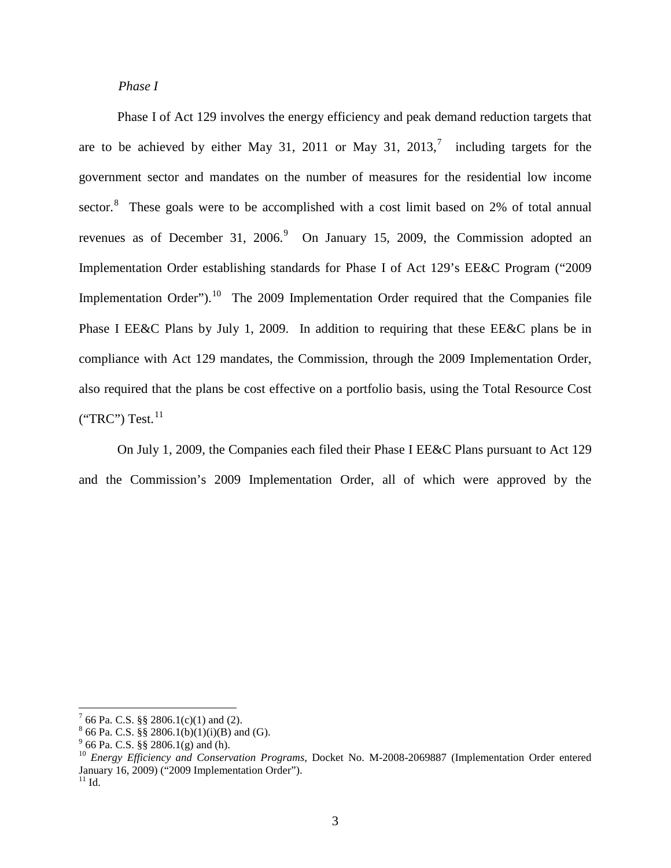#### *Phase I*

<span id="page-7-0"></span>Phase I of Act 129 involves the energy efficiency and peak demand reduction targets that are to be achieved by either May 31, 2011 or May 31, 2013,<sup>[7](#page-8-0)</sup> including targets for the government sector and mandates on the number of measures for the residential low income sector. $8$  These goals were to be accomplished with a cost limit based on 2% of total annual revenues as of December 31, 2006. $9$  On January 15, 2009, the Commission adopted an Implementation Order establishing standards for Phase I of Act 129's EE&C Program ("2009 Implementation Order").<sup>[10](#page-8-0)</sup> The 2009 Implementation Order required that the Companies file Phase I EE&C Plans by July 1, 2009. In addition to requiring that these EE&C plans be in compliance with Act 129 mandates, the Commission, through the 2009 Implementation Order, also required that the plans be cost effective on a portfolio basis, using the Total Resource Cost  $("TRC")$  Test. $^{11}$  $^{11}$  $^{11}$ 

On July 1, 2009, the Companies each filed their Phase I EE&C Plans pursuant to Act 129 and the Commission's 2009 Implementation Order, all of which were approved by the

<sup>&</sup>lt;sup>7</sup> 66 Pa. C.S. §§ 2806.1(c)(1) and (2).<br><sup>8</sup> 66 Pa. C.S. §§ 2806.1(b)(1)(i)(B) and (G).<br><sup>9</sup> 66 Pa. C.S. §§ 2806.1(g) and (h).<br><sup>10</sup> *Energy Efficiency and Conservation Programs*, Docket No. M-2008-2069887 (Implementation O January 16, 2009) ("2009 Implementation Order").<br><sup>11</sup> Id.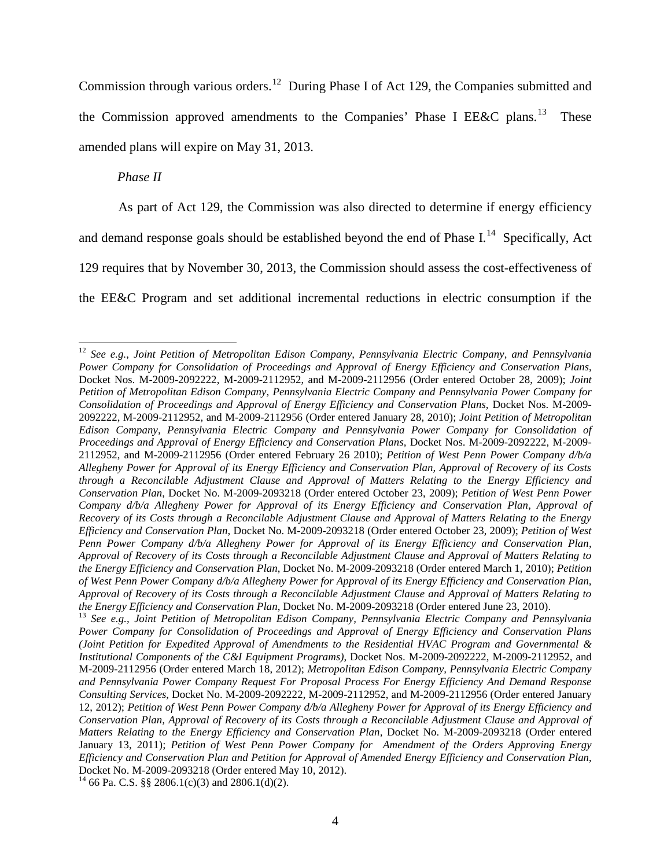<span id="page-8-0"></span>Commission through various orders.<sup>[12](#page-9-0)</sup> During Phase I of Act 129, the Companies submitted and the Commission approved amendments to the Companies' Phase I EE&C plans.<sup>[13](#page-9-0)</sup> These amended plans will expire on May 31, 2013.

*Phase II*

As part of Act 129, the Commission was also directed to determine if energy efficiency

and demand response goals should be established beyond the end of Phase I.<sup>[14](#page-10-0)</sup> Specifically, Act

129 requires that by November 30, 2013, the Commission should assess the cost-effectiveness of

the EE&C Program and set additional incremental reductions in electric consumption if the

 <sup>12</sup> *See e.g.*, *Joint Petition of Metropolitan Edison Company, Pennsylvania Electric Company, and Pennsylvania Power Company for Consolidation of Proceedings and Approval of Energy Efficiency and Conservation Plans*, Docket Nos. M-2009-2092222, M-2009-2112952, and M-2009-2112956 (Order entered October 28, 2009); *Joint Petition of Metropolitan Edison Company, Pennsylvania Electric Company and Pennsylvania Power Company for Consolidation of Proceedings and Approval of Energy Efficiency and Conservation Plans,* Docket Nos. M-2009- 2092222, M-2009-2112952, and M-2009-2112956 (Order entered January 28, 2010); *Joint Petition of Metropolitan Edison Company, Pennsylvania Electric Company and Pennsylvania Power Company for Consolidation of Proceedings and Approval of Energy Efficiency and Conservation Plans,* Docket Nos. M-2009-2092222, M-2009- 2112952, and M-2009-2112956 (Order entered February 26 2010); *Petition of West Penn Power Company d/b/a Allegheny Power for Approval of its Energy Efficiency and Conservation Plan, Approval of Recovery of its Costs through a Reconcilable Adjustment Clause and Approval of Matters Relating to the Energy Efficiency and Conservation Plan*, Docket No. M-2009-2093218 (Order entered October 23, 2009); *Petition of West Penn Power Company d/b/a Allegheny Power for Approval of its Energy Efficiency and Conservation Plan, Approval of Recovery of its Costs through a Reconcilable Adjustment Clause and Approval of Matters Relating to the Energy Efficiency and Conservation Plan*, Docket No. M-2009-2093218 (Order entered October 23, 2009); *Petition of West Penn Power Company d/b/a Allegheny Power for Approval of its Energy Efficiency and Conservation Plan, Approval of Recovery of its Costs through a Reconcilable Adjustment Clause and Approval of Matters Relating to the Energy Efficiency and Conservation Plan*, Docket No. M-2009-2093218 (Order entered March 1, 2010); *Petition of West Penn Power Company d/b/a Allegheny Power for Approval of its Energy Efficiency and Conservation Plan, Approval of Recovery of its Costs through a Reconcilable Adjustment Clause and Approval of Matters Relating to* 

<sup>&</sup>lt;sup>13</sup> See e.g., Joint Petition of Metropolitan Edison Company, Pennsylvania Electric Company and Pennsylvania *Power Company for Consolidation of Proceedings and Approval of Energy Efficiency and Conservation Plans (Joint Petition for Expedited Approval of Amendments to the Residential HVAC Program and Governmental & Institutional Components of the C&I Equipment Programs)*, Docket Nos. M-2009-2092222, M-2009-2112952, and M-2009-2112956 (Order entered March 18, 2012); *Metropolitan Edison Company, Pennsylvania Electric Company and Pennsylvania Power Company Request For Proposal Process For Energy Efficiency And Demand Response Consulting Services*, Docket No. M-2009-2092222, M-2009-2112952, and M-2009-2112956 (Order entered January 12, 2012); *Petition of West Penn Power Company d/b/a Allegheny Power for Approval of its Energy Efficiency and Conservation Plan, Approval of Recovery of its Costs through a Reconcilable Adjustment Clause and Approval of Matters Relating to the Energy Efficiency and Conservation Plan,* Docket No. M-2009-2093218 (Order entered January 13, 2011); *Petition of West Penn Power Company for Amendment of the Orders Approving Energy Efficiency and Conservation Plan and Petition for Approval of Amended Energy Efficiency and Conservation Plan*,

<sup>&</sup>lt;sup>14</sup> 66 Pa. C.S. §§ 2806.1(c)(3) and 2806.1(d)(2).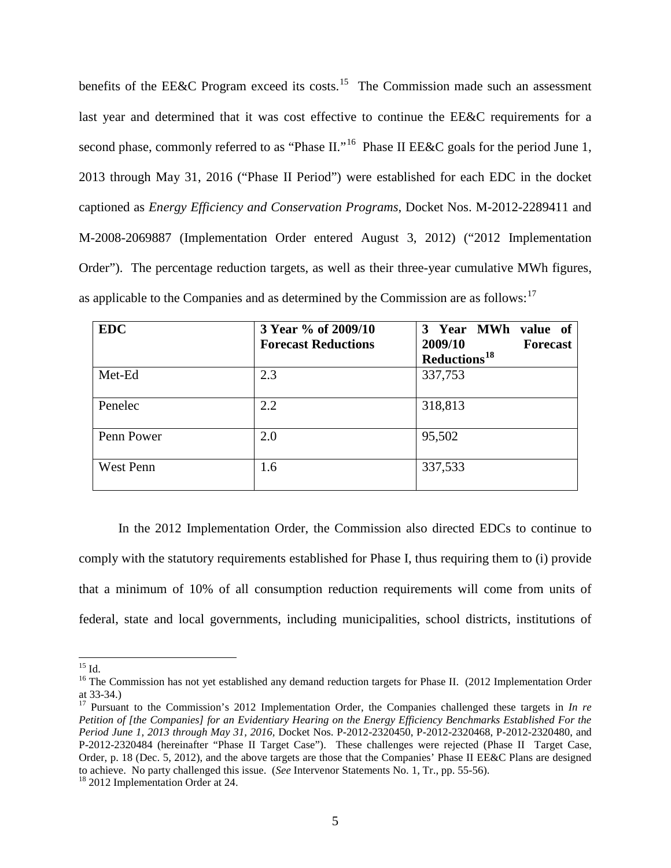<span id="page-9-0"></span>benefits of the EE&C Program exceed its costs.<sup>[15](#page-10-0)</sup> The Commission made such an assessment last year and determined that it was cost effective to continue the EE&C requirements for a second phase, commonly referred to as "Phase II."<sup>[16](#page-11-0)</sup> Phase II EE&C goals for the period June 1, 2013 through May 31, 2016 ("Phase II Period") were established for each EDC in the docket captioned as *Energy Efficiency and Conservation Programs*, Docket Nos. M-2012-2289411 and M-2008-2069887 (Implementation Order entered August 3, 2012) ("2012 Implementation Order"). The percentage reduction targets, as well as their three-year cumulative MWh figures, as applicable to the Companies and as determined by the Commission are as follows: $17$ 

| <b>EDC</b> | 3 Year % of 2009/10<br><b>Forecast Reductions</b> | 3 Year MWh value of<br>2009/10<br><b>Forecast</b><br>Reductions <sup>18</sup> |
|------------|---------------------------------------------------|-------------------------------------------------------------------------------|
| Met-Ed     | 2.3                                               | 337,753                                                                       |
| Penelec    | 2.2                                               | 318,813                                                                       |
| Penn Power | 2.0                                               | 95,502                                                                        |
| West Penn  | 1.6                                               | 337,533                                                                       |

In the 2012 Implementation Order, the Commission also directed EDCs to continue to comply with the statutory requirements established for Phase I, thus requiring them to (i) provide that a minimum of 10% of all consumption reduction requirements will come from units of federal, state and local governments, including municipalities, school districts, institutions of

<sup>&</sup>lt;sup>15</sup> Id. <sup>16</sup> The Commission has not yet established any demand reduction targets for Phase II. (2012 Implementation Order at 33-34.) <sup>17</sup> Pursuant to the Commission's 2012 Implementation Order, the Companies challenged these targets in *In re* 

*Petition of [the Companies] for an Evidentiary Hearing on the Energy Efficiency Benchmarks Established For the Period June 1, 2013 through May 31, 2016,* Docket Nos. P-2012-2320450, P-2012-2320468, P-2012-2320480, and P-2012-2320484 (hereinafter "Phase II Target Case"). These challenges were rejected (Phase II Target Case, Order, p. 18 (Dec. 5, 2012), and the above targets are those that the Companies' Phase II EE&C Plans are designed to achieve. No party challenged this issue. (*See* Intervenor Statements No. 1, Tr., pp. 55-56). 18 2012 Implementation Order at 24.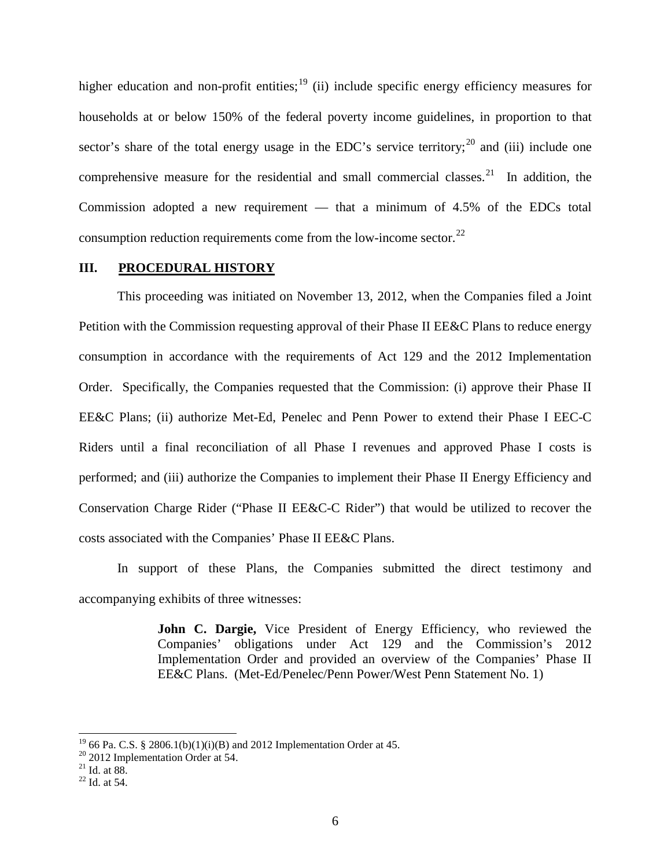<span id="page-10-0"></span>higher education and non-profit entities;  $\frac{19}{2}$  $\frac{19}{2}$  $\frac{19}{2}$  (ii) include specific energy efficiency measures for households at or below 150% of the federal poverty income guidelines, in proportion to that sector's share of the total energy usage in the EDC's service territory;  $^{20}$  $^{20}$  $^{20}$  and (iii) include one comprehensive measure for the residential and small commercial classes.<sup>[21](#page-12-0)</sup> In addition, the Commission adopted a new requirement — that a minimum of 4.5% of the EDCs total consumption reduction requirements come from the low-income sector. $^{22}$  $^{22}$  $^{22}$ 

#### **III. PROCEDURAL HISTORY**

This proceeding was initiated on November 13, 2012, when the Companies filed a Joint Petition with the Commission requesting approval of their Phase II EE&C Plans to reduce energy consumption in accordance with the requirements of Act 129 and the 2012 Implementation Order. Specifically, the Companies requested that the Commission: (i) approve their Phase II EE&C Plans; (ii) authorize Met-Ed, Penelec and Penn Power to extend their Phase I EEC-C Riders until a final reconciliation of all Phase I revenues and approved Phase I costs is performed; and (iii) authorize the Companies to implement their Phase II Energy Efficiency and Conservation Charge Rider ("Phase II EE&C-C Rider") that would be utilized to recover the costs associated with the Companies' Phase II EE&C Plans.

In support of these Plans, the Companies submitted the direct testimony and accompanying exhibits of three witnesses:

> **John C. Dargie,** Vice President of Energy Efficiency, who reviewed the Companies' obligations under Act 129 and the Commission's 2012 Implementation Order and provided an overview of the Companies' Phase II EE&C Plans. (Met-Ed/Penelec/Penn Power/West Penn Statement No. 1)

<sup>&</sup>lt;sup>19</sup> 66 Pa. C.S. § 2806.1(b)(1)(i)(B) and 2012 Implementation Order at 45.<br><sup>20</sup> 2012 Implementation Order at 54.<br><sup>21</sup> Id. at 88. <sup>22</sup> Id. at 54.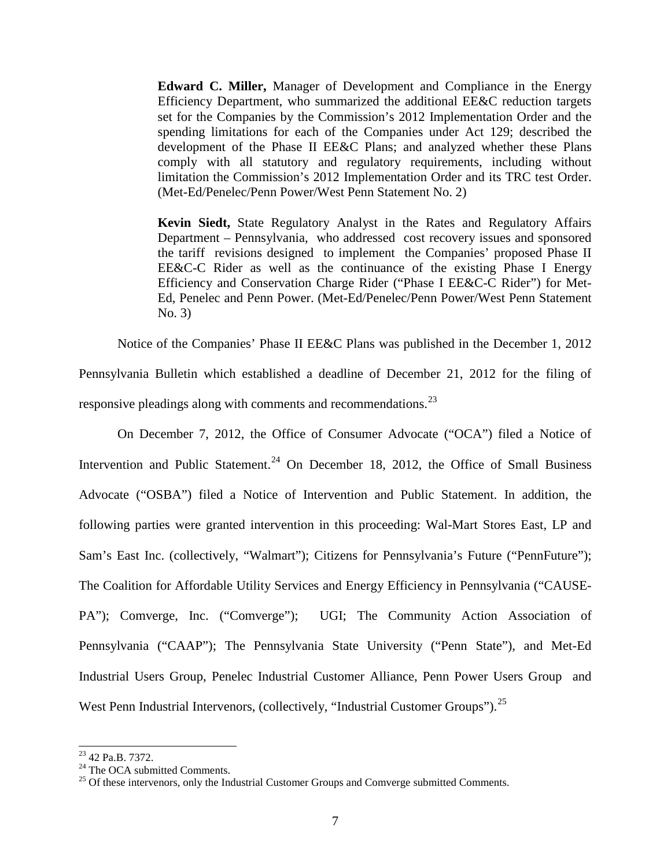<span id="page-11-0"></span>**Edward C. Miller,** Manager of Development and Compliance in the Energy Efficiency Department, who summarized the additional EE&C reduction targets set for the Companies by the Commission's 2012 Implementation Order and the spending limitations for each of the Companies under Act 129; described the development of the Phase II EE&C Plans; and analyzed whether these Plans comply with all statutory and regulatory requirements, including without limitation the Commission's 2012 Implementation Order and its TRC test Order. (Met-Ed/Penelec/Penn Power/West Penn Statement No. 2)

**Kevin Siedt,** State Regulatory Analyst in the Rates and Regulatory Affairs Department – Pennsylvania, who addressed cost recovery issues and sponsored the tariff revisions designed to implement the Companies' proposed Phase II EE&C-C Rider as well as the continuance of the existing Phase I Energy Efficiency and Conservation Charge Rider ("Phase I EE&C-C Rider") for Met-Ed, Penelec and Penn Power. (Met-Ed/Penelec/Penn Power/West Penn Statement No. 3)

Notice of the Companies' Phase II EE&C Plans was published in the December 1, 2012

Pennsylvania Bulletin which established a deadline of December 21, 2012 for the filing of responsive pleadings along with comments and recommendations.<sup>[23](#page-13-0)</sup>

On December 7, 2012, the Office of Consumer Advocate ("OCA") filed a Notice of Intervention and Public Statement.<sup>[24](#page-13-0)</sup> On December 18, 2012, the Office of Small Business Advocate ("OSBA") filed a Notice of Intervention and Public Statement. In addition, the following parties were granted intervention in this proceeding: Wal-Mart Stores East, LP and Sam's East Inc. (collectively, "Walmart"); Citizens for Pennsylvania's Future ("PennFuture"); The Coalition for Affordable Utility Services and Energy Efficiency in Pennsylvania ("CAUSE-PA"); Comverge, Inc. ("Comverge"); UGI; The Community Action Association of Pennsylvania ("CAAP"); The Pennsylvania State University ("Penn State"), and Met-Ed Industrial Users Group, Penelec Industrial Customer Alliance, Penn Power Users Group and West Penn Industrial Intervenors, (collectively, "Industrial Customer Groups").<sup>[25](#page-13-0)</sup>

<sup>&</sup>lt;sup>23</sup> 42 Pa.B. 7372.<br><sup>24</sup> The OCA submitted Comments.<br><sup>25</sup> Of these intervenors, only the Industrial Customer Groups and Comverge submitted Comments.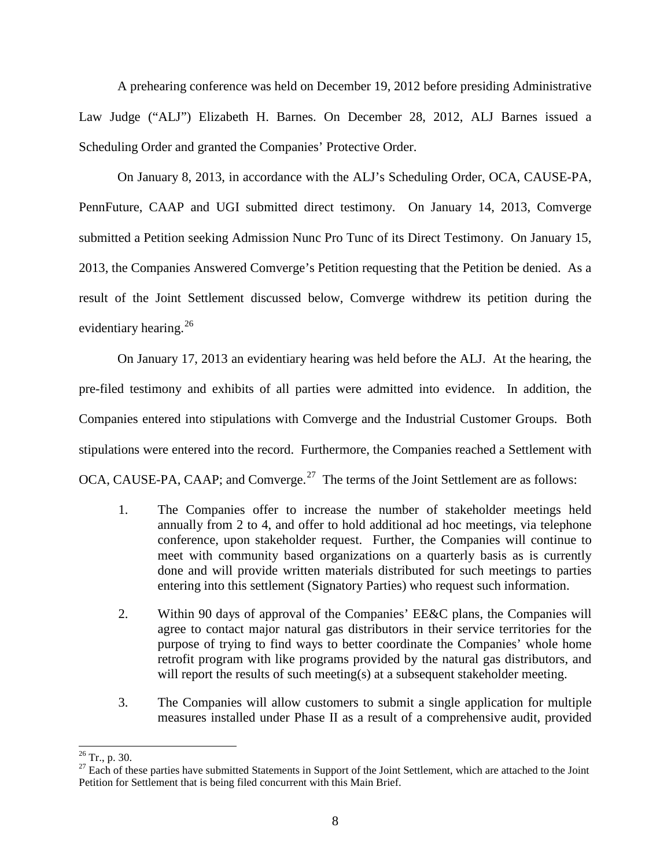<span id="page-12-0"></span>A prehearing conference was held on December 19, 2012 before presiding Administrative Law Judge ("ALJ") Elizabeth H. Barnes. On December 28, 2012, ALJ Barnes issued a Scheduling Order and granted the Companies' Protective Order.

On January 8, 2013, in accordance with the ALJ's Scheduling Order, OCA, CAUSE-PA, PennFuture, CAAP and UGI submitted direct testimony. On January 14, 2013, Comverge submitted a Petition seeking Admission Nunc Pro Tunc of its Direct Testimony. On January 15, 2013, the Companies Answered Comverge's Petition requesting that the Petition be denied. As a result of the Joint Settlement discussed below, Comverge withdrew its petition during the evidentiary hearing.<sup>[26](#page-14-0)</sup>

On January 17, 2013 an evidentiary hearing was held before the ALJ. At the hearing, the pre-filed testimony and exhibits of all parties were admitted into evidence. In addition, the Companies entered into stipulations with Comverge and the Industrial Customer Groups. Both stipulations were entered into the record. Furthermore, the Companies reached a Settlement with OCA, CAUSE-PA, CAAP; and Comverge.<sup>[27](#page-14-0)</sup> The terms of the Joint Settlement are as follows:

- 1. The Companies offer to increase the number of stakeholder meetings held annually from 2 to 4, and offer to hold additional ad hoc meetings, via telephone conference, upon stakeholder request. Further, the Companies will continue to meet with community based organizations on a quarterly basis as is currently done and will provide written materials distributed for such meetings to parties entering into this settlement (Signatory Parties) who request such information.
- 2. Within 90 days of approval of the Companies' EE&C plans, the Companies will agree to contact major natural gas distributors in their service territories for the purpose of trying to find ways to better coordinate the Companies' whole home retrofit program with like programs provided by the natural gas distributors, and will report the results of such meeting(s) at a subsequent stakeholder meeting.
- 3. The Companies will allow customers to submit a single application for multiple measures installed under Phase II as a result of a comprehensive audit, provided

<sup>&</sup>lt;sup>26</sup> Tr., p. 30.<br><sup>27</sup> Each of these parties have submitted Statements in Support of the Joint Settlement, which are attached to the Joint Petition for Settlement that is being filed concurrent with this Main Brief.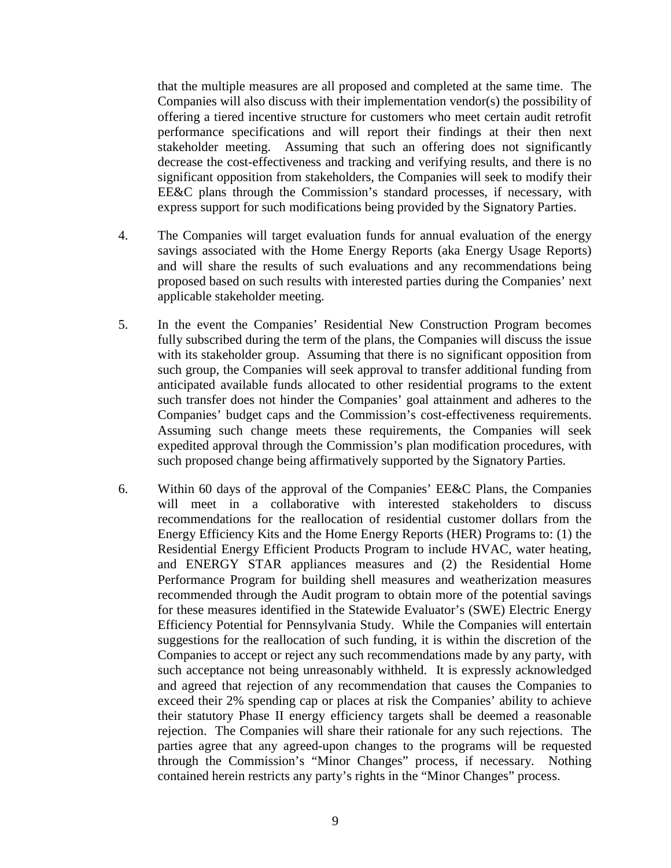<span id="page-13-0"></span>that the multiple measures are all proposed and completed at the same time. The Companies will also discuss with their implementation vendor(s) the possibility of offering a tiered incentive structure for customers who meet certain audit retrofit performance specifications and will report their findings at their then next stakeholder meeting. Assuming that such an offering does not significantly decrease the cost-effectiveness and tracking and verifying results, and there is no significant opposition from stakeholders, the Companies will seek to modify their EE&C plans through the Commission's standard processes, if necessary, with express support for such modifications being provided by the Signatory Parties.

- 4. The Companies will target evaluation funds for annual evaluation of the energy savings associated with the Home Energy Reports (aka Energy Usage Reports) and will share the results of such evaluations and any recommendations being proposed based on such results with interested parties during the Companies' next applicable stakeholder meeting.
- 5. In the event the Companies' Residential New Construction Program becomes fully subscribed during the term of the plans, the Companies will discuss the issue with its stakeholder group. Assuming that there is no significant opposition from such group, the Companies will seek approval to transfer additional funding from anticipated available funds allocated to other residential programs to the extent such transfer does not hinder the Companies' goal attainment and adheres to the Companies' budget caps and the Commission's cost-effectiveness requirements. Assuming such change meets these requirements, the Companies will seek expedited approval through the Commission's plan modification procedures, with such proposed change being affirmatively supported by the Signatory Parties.
- 6. Within 60 days of the approval of the Companies' EE&C Plans, the Companies will meet in a collaborative with interested stakeholders to discuss recommendations for the reallocation of residential customer dollars from the Energy Efficiency Kits and the Home Energy Reports (HER) Programs to: (1) the Residential Energy Efficient Products Program to include HVAC, water heating, and ENERGY STAR appliances measures and (2) the Residential Home Performance Program for building shell measures and weatherization measures recommended through the Audit program to obtain more of the potential savings for these measures identified in the Statewide Evaluator's (SWE) Electric Energy Efficiency Potential for Pennsylvania Study. While the Companies will entertain suggestions for the reallocation of such funding, it is within the discretion of the Companies to accept or reject any such recommendations made by any party, with such acceptance not being unreasonably withheld. It is expressly acknowledged and agreed that rejection of any recommendation that causes the Companies to exceed their 2% spending cap or places at risk the Companies' ability to achieve their statutory Phase II energy efficiency targets shall be deemed a reasonable rejection. The Companies will share their rationale for any such rejections. The parties agree that any agreed-upon changes to the programs will be requested through the Commission's "Minor Changes" process, if necessary. Nothing contained herein restricts any party's rights in the "Minor Changes" process.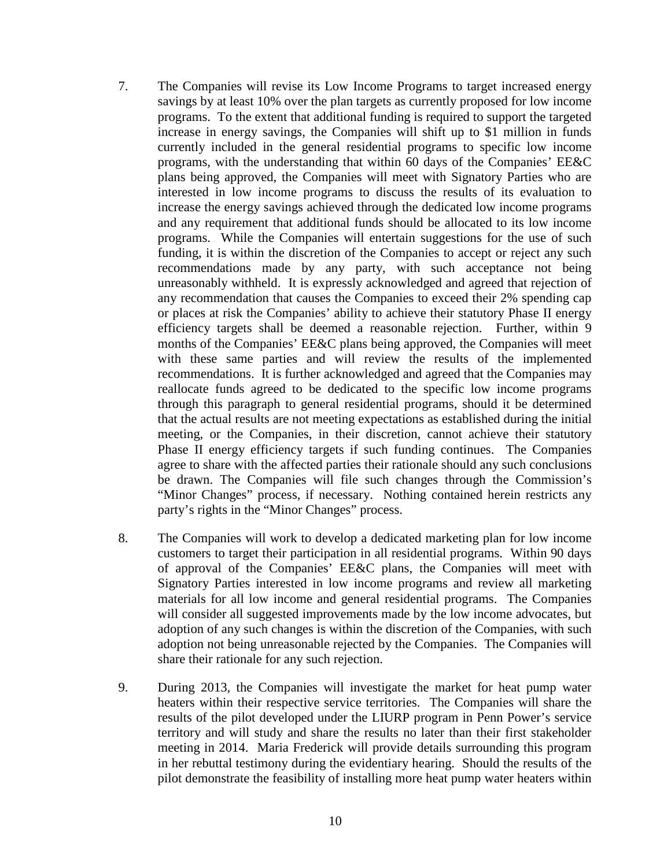- <span id="page-14-0"></span>7. The Companies will revise its Low Income Programs to target increased energy savings by at least 10% over the plan targets as currently proposed for low income programs. To the extent that additional funding is required to support the targeted increase in energy savings, the Companies will shift up to \$1 million in funds currently included in the general residential programs to specific low income programs, with the understanding that within 60 days of the Companies' EE&C plans being approved, the Companies will meet with Signatory Parties who are interested in low income programs to discuss the results of its evaluation to increase the energy savings achieved through the dedicated low income programs and any requirement that additional funds should be allocated to its low income programs. While the Companies will entertain suggestions for the use of such funding, it is within the discretion of the Companies to accept or reject any such recommendations made by any party, with such acceptance not being unreasonably withheld. It is expressly acknowledged and agreed that rejection of any recommendation that causes the Companies to exceed their 2% spending cap or places at risk the Companies' ability to achieve their statutory Phase II energy efficiency targets shall be deemed a reasonable rejection. Further, within 9 months of the Companies' EE&C plans being approved, the Companies will meet with these same parties and will review the results of the implemented recommendations. It is further acknowledged and agreed that the Companies may reallocate funds agreed to be dedicated to the specific low income programs through this paragraph to general residential programs, should it be determined that the actual results are not meeting expectations as established during the initial meeting, or the Companies, in their discretion, cannot achieve their statutory Phase II energy efficiency targets if such funding continues. The Companies agree to share with the affected parties their rationale should any such conclusions be drawn. The Companies will file such changes through the Commission's "Minor Changes" process, if necessary. Nothing contained herein restricts any party's rights in the "Minor Changes" process.
- 8. The Companies will work to develop a dedicated marketing plan for low income customers to target their participation in all residential programs. Within 90 days of approval of the Companies' EE&C plans, the Companies will meet with Signatory Parties interested in low income programs and review all marketing materials for all low income and general residential programs. The Companies will consider all suggested improvements made by the low income advocates, but adoption of any such changes is within the discretion of the Companies, with such adoption not being unreasonable rejected by the Companies. The Companies will share their rationale for any such rejection.
- 9. During 2013, the Companies will investigate the market for heat pump water heaters within their respective service territories. The Companies will share the results of the pilot developed under the LIURP program in Penn Power's service territory and will study and share the results no later than their first stakeholder meeting in 2014. Maria Frederick will provide details surrounding this program in her rebuttal testimony during the evidentiary hearing. Should the results of the pilot demonstrate the feasibility of installing more heat pump water heaters within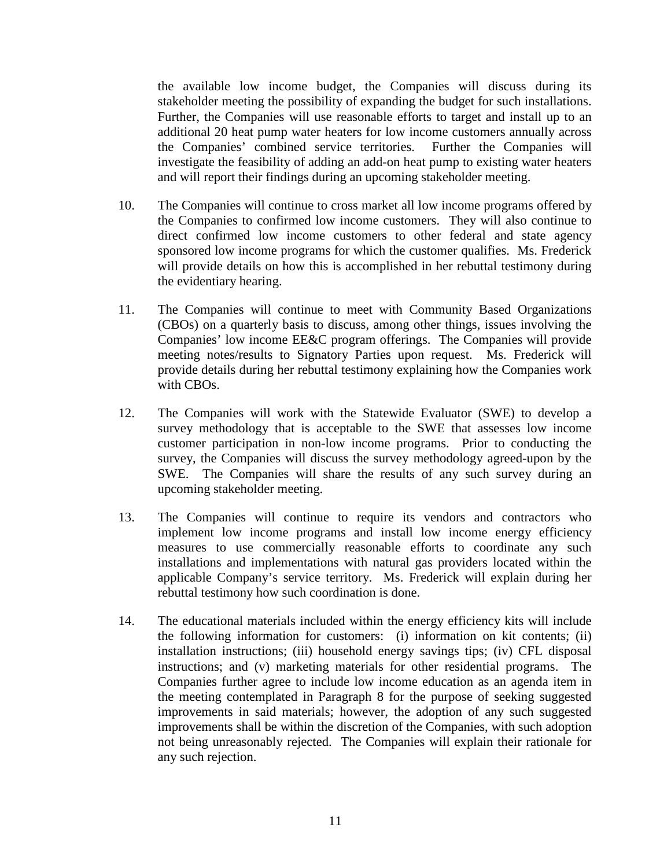the available low income budget, the Companies will discuss during its stakeholder meeting the possibility of expanding the budget for such installations. Further, the Companies will use reasonable efforts to target and install up to an additional 20 heat pump water heaters for low income customers annually across the Companies' combined service territories. Further the Companies will investigate the feasibility of adding an add-on heat pump to existing water heaters and will report their findings during an upcoming stakeholder meeting.

- 10. The Companies will continue to cross market all low income programs offered by the Companies to confirmed low income customers. They will also continue to direct confirmed low income customers to other federal and state agency sponsored low income programs for which the customer qualifies. Ms. Frederick will provide details on how this is accomplished in her rebuttal testimony during the evidentiary hearing.
- 11. The Companies will continue to meet with Community Based Organizations (CBOs) on a quarterly basis to discuss, among other things, issues involving the Companies' low income EE&C program offerings. The Companies will provide meeting notes/results to Signatory Parties upon request. Ms. Frederick will provide details during her rebuttal testimony explaining how the Companies work with CBOs.
- 12. The Companies will work with the Statewide Evaluator (SWE) to develop a survey methodology that is acceptable to the SWE that assesses low income customer participation in non-low income programs. Prior to conducting the survey, the Companies will discuss the survey methodology agreed-upon by the SWE. The Companies will share the results of any such survey during an upcoming stakeholder meeting.
- 13. The Companies will continue to require its vendors and contractors who implement low income programs and install low income energy efficiency measures to use commercially reasonable efforts to coordinate any such installations and implementations with natural gas providers located within the applicable Company's service territory. Ms. Frederick will explain during her rebuttal testimony how such coordination is done.
- 14. The educational materials included within the energy efficiency kits will include the following information for customers: (i) information on kit contents; (ii) installation instructions; (iii) household energy savings tips; (iv) CFL disposal instructions; and (v) marketing materials for other residential programs. The Companies further agree to include low income education as an agenda item in the meeting contemplated in Paragraph 8 for the purpose of seeking suggested improvements in said materials; however, the adoption of any such suggested improvements shall be within the discretion of the Companies, with such adoption not being unreasonably rejected. The Companies will explain their rationale for any such rejection.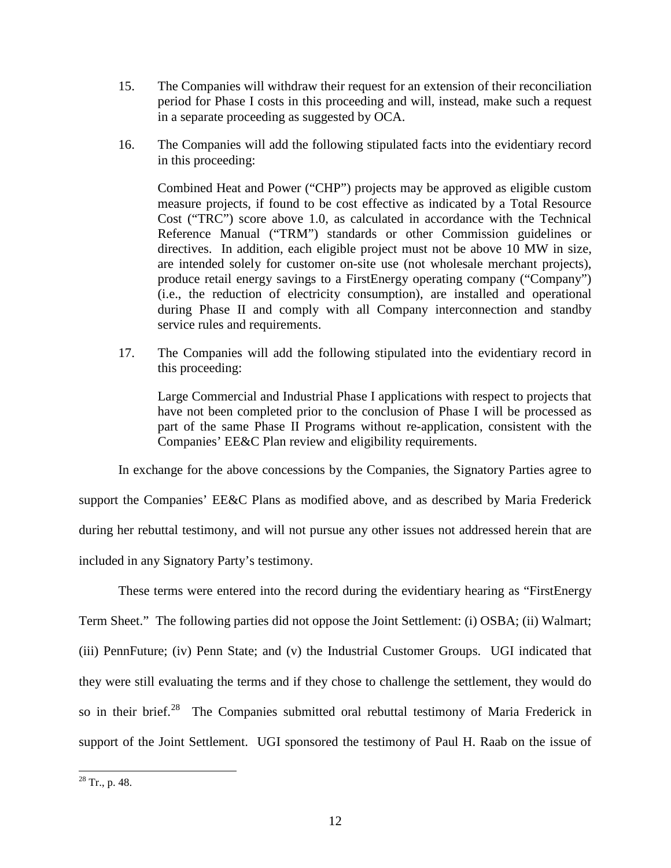- 15. The Companies will withdraw their request for an extension of their reconciliation period for Phase I costs in this proceeding and will, instead, make such a request in a separate proceeding as suggested by OCA.
- 16. The Companies will add the following stipulated facts into the evidentiary record in this proceeding:

Combined Heat and Power ("CHP") projects may be approved as eligible custom measure projects, if found to be cost effective as indicated by a Total Resource Cost ("TRC") score above 1.0, as calculated in accordance with the Technical Reference Manual ("TRM") standards or other Commission guidelines or directives. In addition, each eligible project must not be above 10 MW in size, are intended solely for customer on-site use (not wholesale merchant projects), produce retail energy savings to a FirstEnergy operating company ("Company") (i.e., the reduction of electricity consumption), are installed and operational during Phase II and comply with all Company interconnection and standby service rules and requirements.

17. The Companies will add the following stipulated into the evidentiary record in this proceeding:

Large Commercial and Industrial Phase I applications with respect to projects that have not been completed prior to the conclusion of Phase I will be processed as part of the same Phase II Programs without re-application, consistent with the Companies' EE&C Plan review and eligibility requirements.

In exchange for the above concessions by the Companies, the Signatory Parties agree to

support the Companies' EE&C Plans as modified above, and as described by Maria Frederick during her rebuttal testimony, and will not pursue any other issues not addressed herein that are included in any Signatory Party's testimony.

These terms were entered into the record during the evidentiary hearing as "FirstEnergy Term Sheet." The following parties did not oppose the Joint Settlement: (i) OSBA; (ii) Walmart; (iii) PennFuture; (iv) Penn State; and (v) the Industrial Customer Groups. UGI indicated that they were still evaluating the terms and if they chose to challenge the settlement, they would do so in their brief.<sup>[28](#page-18-0)</sup> The Companies submitted oral rebuttal testimony of Maria Frederick in support of the Joint Settlement. UGI sponsored the testimony of Paul H. Raab on the issue of

 $28$  Tr., p. 48.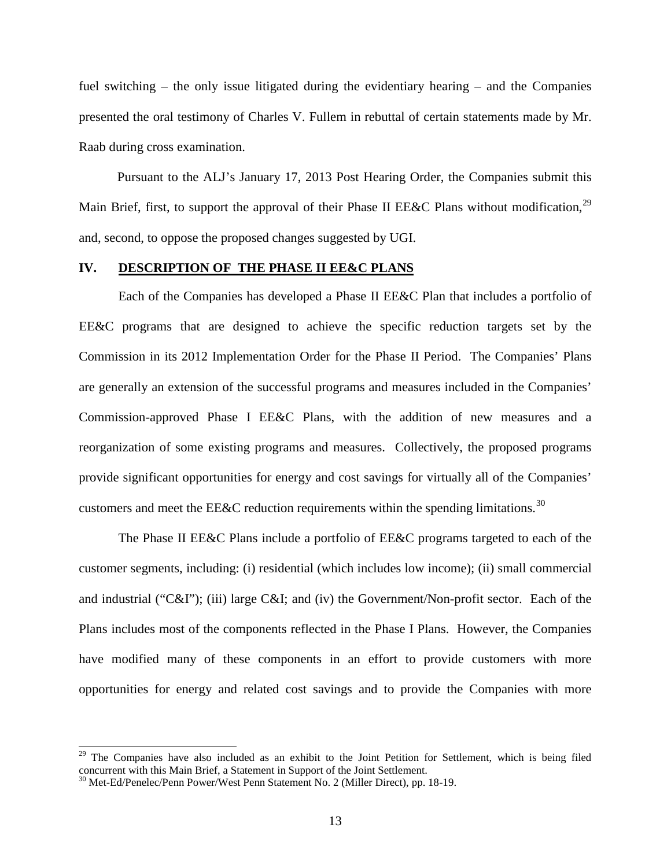<span id="page-17-0"></span>fuel switching – the only issue litigated during the evidentiary hearing – and the Companies presented the oral testimony of Charles V. Fullem in rebuttal of certain statements made by Mr. Raab during cross examination.

Pursuant to the ALJ's January 17, 2013 Post Hearing Order, the Companies submit this Main Brief, first, to support the approval of their Phase II EE&C Plans without modification,<sup>[29](#page-19-0)</sup> and, second, to oppose the proposed changes suggested by UGI.

#### **IV. DESCRIPTION OF THE PHASE II EE&C PLANS**

Each of the Companies has developed a Phase II EE&C Plan that includes a portfolio of EE&C programs that are designed to achieve the specific reduction targets set by the Commission in its 2012 Implementation Order for the Phase II Period. The Companies' Plans are generally an extension of the successful programs and measures included in the Companies' Commission-approved Phase I EE&C Plans, with the addition of new measures and a reorganization of some existing programs and measures. Collectively, the proposed programs provide significant opportunities for energy and cost savings for virtually all of the Companies' customers and meet the EE&C reduction requirements within the spending limitations.<sup>[30](#page-19-0)</sup>

The Phase II EE&C Plans include a portfolio of EE&C programs targeted to each of the customer segments, including: (i) residential (which includes low income); (ii) small commercial and industrial ("C&I"); (iii) large C&I; and (iv) the Government/Non-profit sector. Each of the Plans includes most of the components reflected in the Phase I Plans. However, the Companies have modified many of these components in an effort to provide customers with more opportunities for energy and related cost savings and to provide the Companies with more

<sup>&</sup>lt;sup>29</sup> The Companies have also included as an exhibit to the Joint Petition for Settlement, which is being filed concurrent with this Main Brief, a Statement in Support of the Joint Settlement.

<sup>&</sup>lt;sup>30</sup> Met-Ed/Penelec/Penn Power/West Penn Statement No. 2 (Miller Direct), pp. 18-19.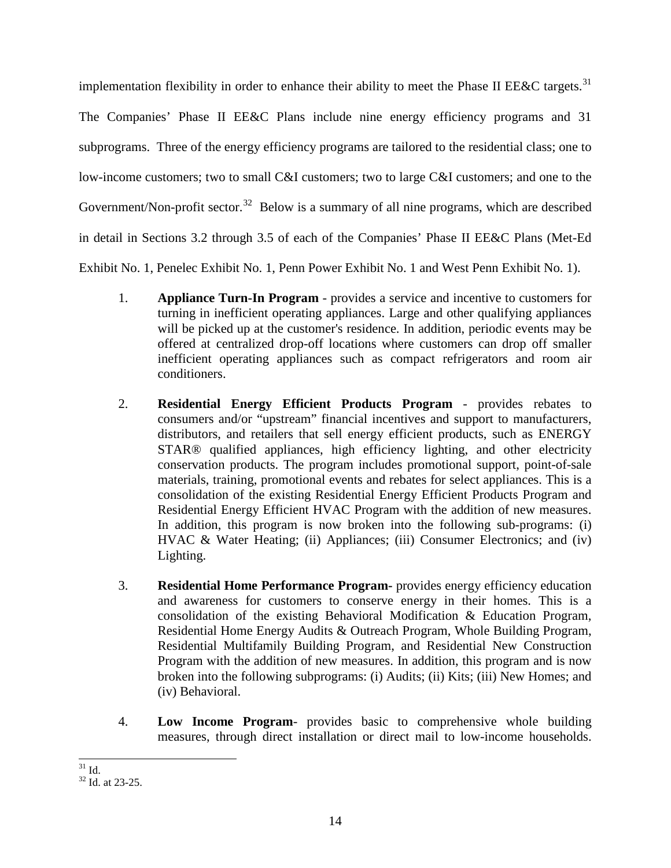<span id="page-18-0"></span>implementation flexibility in order to enhance their ability to meet the Phase II EE&C targets.<sup>[31](#page-20-0)</sup> The Companies' Phase II EE&C Plans include nine energy efficiency programs and 31 subprograms. Three of the energy efficiency programs are tailored to the residential class; one to low-income customers; two to small C&I customers; two to large C&I customers; and one to the Government/Non-profit sector.<sup>[32](#page-20-0)</sup> Below is a summary of all nine programs, which are described in detail in Sections 3.2 through 3.5 of each of the Companies' Phase II EE&C Plans (Met-Ed Exhibit No. 1, Penelec Exhibit No. 1, Penn Power Exhibit No. 1 and West Penn Exhibit No. 1).

- 1. **Appliance Turn-In Program** provides a service and incentive to customers for turning in inefficient operating appliances. Large and other qualifying appliances will be picked up at the customer's residence. In addition, periodic events may be offered at centralized drop-off locations where customers can drop off smaller inefficient operating appliances such as compact refrigerators and room air conditioners.
- 2. **Residential Energy Efficient Products Program** provides rebates to consumers and/or "upstream" financial incentives and support to manufacturers, distributors, and retailers that sell energy efficient products, such as ENERGY STAR® qualified appliances, high efficiency lighting, and other electricity conservation products. The program includes promotional support, point-of-sale materials, training, promotional events and rebates for select appliances. This is a consolidation of the existing Residential Energy Efficient Products Program and Residential Energy Efficient HVAC Program with the addition of new measures. In addition, this program is now broken into the following sub-programs: (i) HVAC & Water Heating; (ii) Appliances; (iii) Consumer Electronics; and (iv) Lighting.
- 3. **Residential Home Performance Program-** provides energy efficiency education and awareness for customers to conserve energy in their homes. This is a consolidation of the existing Behavioral Modification & Education Program, Residential Home Energy Audits & Outreach Program, Whole Building Program, Residential Multifamily Building Program, and Residential New Construction Program with the addition of new measures. In addition, this program and is now broken into the following subprograms: (i) Audits; (ii) Kits; (iii) New Homes; and (iv) Behavioral.
- 4. **Low Income Program** provides basic to comprehensive whole building measures, through direct installation or direct mail to low-income households.

 $\frac{31}{32}$  Id. at 23-25.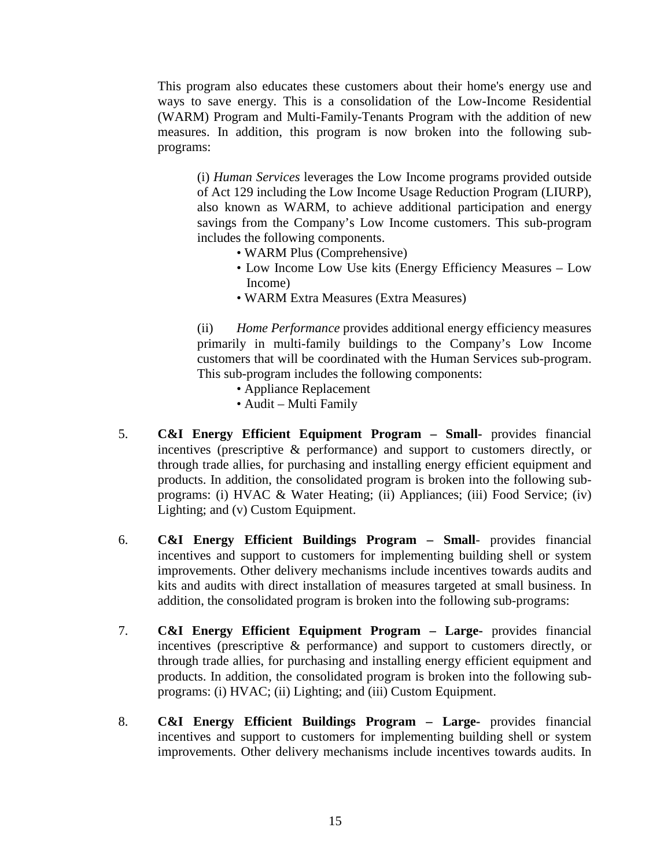<span id="page-19-0"></span>This program also educates these customers about their home's energy use and ways to save energy. This is a consolidation of the Low-Income Residential (WARM) Program and Multi-Family-Tenants Program with the addition of new measures. In addition, this program is now broken into the following subprograms:

(i) *Human Services* leverages the Low Income programs provided outside of Act 129 including the Low Income Usage Reduction Program (LIURP), also known as WARM, to achieve additional participation and energy savings from the Company's Low Income customers. This sub-program includes the following components.

- WARM Plus (Comprehensive)
- Low Income Low Use kits (Energy Efficiency Measures Low Income)
- WARM Extra Measures (Extra Measures)

(ii) *Home Performance* provides additional energy efficiency measures primarily in multi-family buildings to the Company's Low Income customers that will be coordinated with the Human Services sub-program. This sub-program includes the following components:

- Appliance Replacement
- Audit Multi Family
- 5. **C&I Energy Efficient Equipment Program – Small-** provides financial incentives (prescriptive & performance) and support to customers directly, or through trade allies, for purchasing and installing energy efficient equipment and products. In addition, the consolidated program is broken into the following subprograms: (i) HVAC & Water Heating; (ii) Appliances; (iii) Food Service; (iv) Lighting; and (v) Custom Equipment.
- 6. **C&I Energy Efficient Buildings Program – Small** provides financial incentives and support to customers for implementing building shell or system improvements. Other delivery mechanisms include incentives towards audits and kits and audits with direct installation of measures targeted at small business. In addition, the consolidated program is broken into the following sub-programs:
- 7. **C&I Energy Efficient Equipment Program – Large-** provides financial incentives (prescriptive & performance) and support to customers directly, or through trade allies, for purchasing and installing energy efficient equipment and products. In addition, the consolidated program is broken into the following subprograms: (i) HVAC; (ii) Lighting; and (iii) Custom Equipment.
- 8. **C&I Energy Efficient Buildings Program – Large-** provides financial incentives and support to customers for implementing building shell or system improvements. Other delivery mechanisms include incentives towards audits. In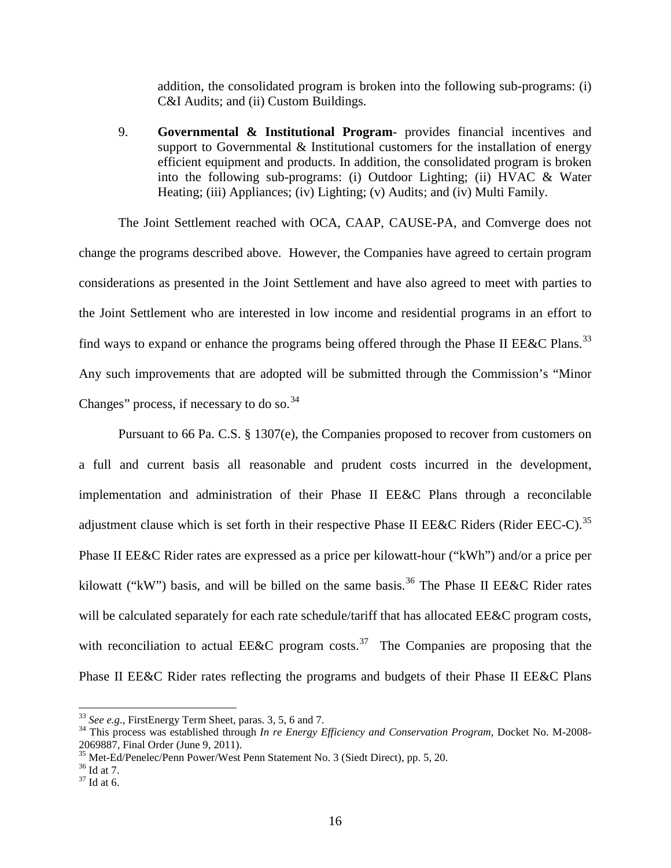addition, the consolidated program is broken into the following sub-programs: (i) C&I Audits; and (ii) Custom Buildings.

<span id="page-20-0"></span>9. **Governmental & Institutional Program**- provides financial incentives and support to Governmental  $\&$  Institutional customers for the installation of energy efficient equipment and products. In addition, the consolidated program is broken into the following sub-programs: (i) Outdoor Lighting; (ii) HVAC & Water Heating; (iii) Appliances; (iv) Lighting; (v) Audits; and (iv) Multi Family.

The Joint Settlement reached with OCA, CAAP, CAUSE-PA, and Comverge does not change the programs described above. However, the Companies have agreed to certain program considerations as presented in the Joint Settlement and have also agreed to meet with parties to the Joint Settlement who are interested in low income and residential programs in an effort to find ways to expand or enhance the programs being offered through the Phase II EE&C Plans.<sup>[33](#page-22-0)</sup> Any such improvements that are adopted will be submitted through the Commission's "Minor Changes" process, if necessary to do so. $34$ 

Pursuant to 66 Pa. C.S. § 1307(e), the Companies proposed to recover from customers on a full and current basis all reasonable and prudent costs incurred in the development, implementation and administration of their Phase II EE&C Plans through a reconcilable adjustment clause which is set forth in their respective Phase II EE&C Riders (Rider EEC-C).<sup>[35](#page-22-0)</sup> Phase II EE&C Rider rates are expressed as a price per kilowatt-hour ("kWh") and/or a price per kilowatt ("kW") basis, and will be billed on the same basis.<sup>[36](#page-22-0)</sup> The Phase II EE&C Rider rates will be calculated separately for each rate schedule/tariff that has allocated EE&C program costs, with reconciliation to actual EE&C program costs.<sup>[37](#page-22-0)</sup> The Companies are proposing that the Phase II EE&C Rider rates reflecting the programs and budgets of their Phase II EE&C Plans

<sup>&</sup>lt;sup>33</sup> See e.g., FirstEnergy Term Sheet, paras. 3, 5, 6 and 7.<br><sup>34</sup> This process was established through *In re Energy Efficiency and Conservation Program*, Docket No. M-2008-2069887, Final Order (June 9, 2011).<br>
<sup>35</sup> Met-Ed/Penelec/Penn Power/West Penn Statement No. 3 (Siedt Direct), pp. 5, 20.<br>
<sup>36</sup> Id at 7.<br>
<sup>37</sup> Id at 6.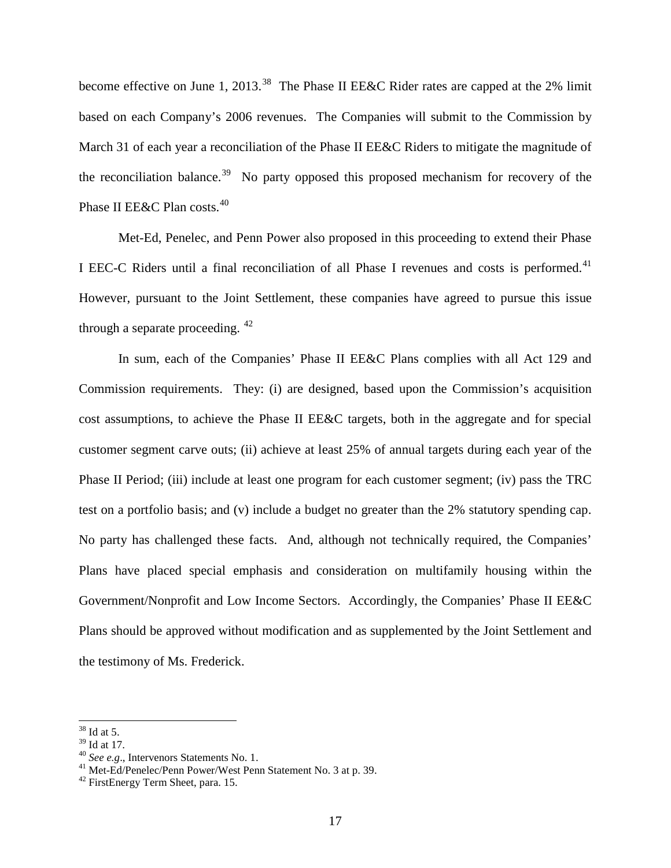<span id="page-21-0"></span>become effective on June 1, 2013.<sup>[38](#page-23-0)</sup> The Phase II EE&C Rider rates are capped at the 2% limit based on each Company's 2006 revenues. The Companies will submit to the Commission by March 31 of each year a reconciliation of the Phase II EE&C Riders to mitigate the magnitude of the reconciliation balance.<sup>[39](#page-23-0)</sup> No party opposed this proposed mechanism for recovery of the Phase II EE&C Plan costs.<sup>[40](#page-23-0)</sup>

Met-Ed, Penelec, and Penn Power also proposed in this proceeding to extend their Phase I EEC-C Riders until a final reconciliation of all Phase I revenues and costs is performed.<sup>[41](#page-23-0)</sup> However, pursuant to the Joint Settlement, these companies have agreed to pursue this issue through a separate proceeding. [42](#page-23-0)

In sum, each of the Companies' Phase II EE&C Plans complies with all Act 129 and Commission requirements. They: (i) are designed, based upon the Commission's acquisition cost assumptions, to achieve the Phase II EE&C targets, both in the aggregate and for special customer segment carve outs; (ii) achieve at least 25% of annual targets during each year of the Phase II Period; (iii) include at least one program for each customer segment; (iv) pass the TRC test on a portfolio basis; and (v) include a budget no greater than the 2% statutory spending cap. No party has challenged these facts. And, although not technically required, the Companies' Plans have placed special emphasis and consideration on multifamily housing within the Government/Nonprofit and Low Income Sectors. Accordingly, the Companies' Phase II EE&C Plans should be approved without modification and as supplemented by the Joint Settlement and the testimony of Ms. Frederick.

 $\frac{38}{39}$  Id at 5.<br> $\frac{39}{10}$  at 17.

<sup>&</sup>lt;sup>40</sup> See e.g., Intervenors Statements No. 1.<br><sup>41</sup> Met-Ed/Penelec/Penn Power/West Penn Statement No. 3 at p. 39. 42 FirstEnergy Term Sheet, para. 15.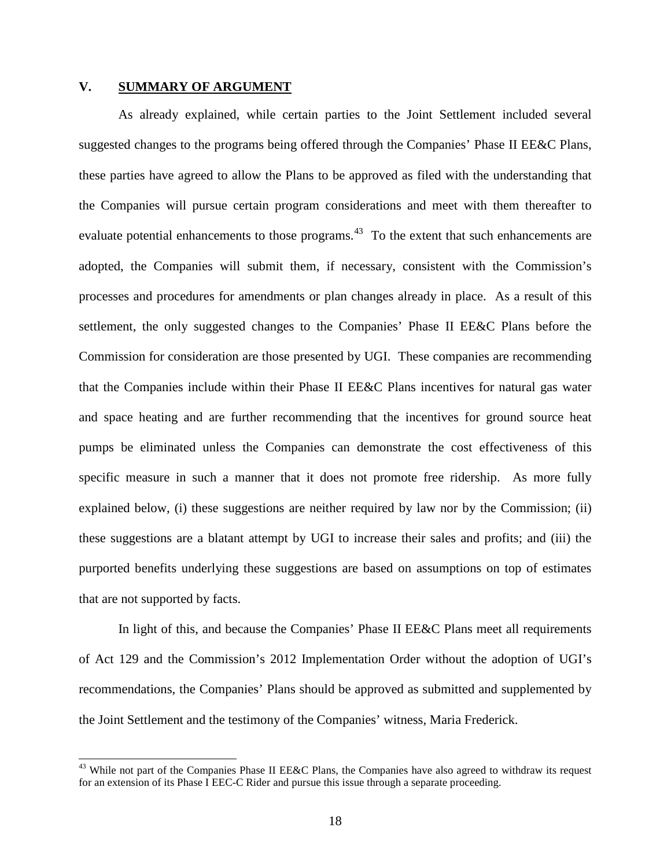#### <span id="page-22-0"></span>**V. SUMMARY OF ARGUMENT**

As already explained, while certain parties to the Joint Settlement included several suggested changes to the programs being offered through the Companies' Phase II EE&C Plans, these parties have agreed to allow the Plans to be approved as filed with the understanding that the Companies will pursue certain program considerations and meet with them thereafter to evaluate potential enhancements to those programs.<sup>[43](#page-25-0)</sup> To the extent that such enhancements are adopted, the Companies will submit them, if necessary, consistent with the Commission's processes and procedures for amendments or plan changes already in place. As a result of this settlement, the only suggested changes to the Companies' Phase II EE&C Plans before the Commission for consideration are those presented by UGI. These companies are recommending that the Companies include within their Phase II EE&C Plans incentives for natural gas water and space heating and are further recommending that the incentives for ground source heat pumps be eliminated unless the Companies can demonstrate the cost effectiveness of this specific measure in such a manner that it does not promote free ridership. As more fully explained below, (i) these suggestions are neither required by law nor by the Commission; (ii) these suggestions are a blatant attempt by UGI to increase their sales and profits; and (iii) the purported benefits underlying these suggestions are based on assumptions on top of estimates that are not supported by facts.

In light of this, and because the Companies' Phase II EE&C Plans meet all requirements of Act 129 and the Commission's 2012 Implementation Order without the adoption of UGI's recommendations, the Companies' Plans should be approved as submitted and supplemented by the Joint Settlement and the testimony of the Companies' witness, Maria Frederick.

<sup>&</sup>lt;sup>43</sup> While not part of the Companies Phase II EE&C Plans, the Companies have also agreed to withdraw its request for an extension of its Phase I EEC-C Rider and pursue this issue through a separate proceeding.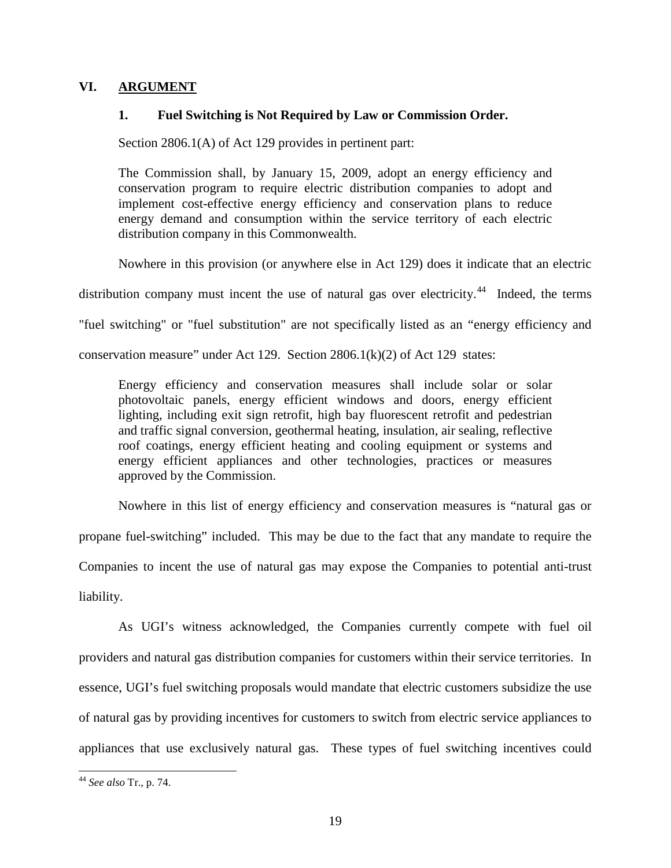### <span id="page-23-0"></span>**VI. ARGUMENT**

### **1. Fuel Switching is Not Required by Law or Commission Order.**

Section 2806.1(A) of Act 129 provides in pertinent part:

The Commission shall, by January 15, 2009, adopt an energy efficiency and conservation program to require electric distribution companies to adopt and implement cost-effective energy efficiency and conservation plans to reduce energy demand and consumption within the service territory of each electric distribution company in this Commonwealth.

Nowhere in this provision (or anywhere else in Act 129) does it indicate that an electric

distribution company must incent the use of natural gas over electricity.<sup>[44](#page-26-0)</sup> Indeed, the terms

"fuel switching" or "fuel substitution" are not specifically listed as an "energy efficiency and

conservation measure" under Act 129. Section  $2806.1(k)(2)$  of Act 129 states:

Energy efficiency and conservation measures shall include solar or solar photovoltaic panels, energy efficient windows and doors, energy efficient lighting, including exit sign retrofit, high bay fluorescent retrofit and pedestrian and traffic signal conversion, geothermal heating, insulation, air sealing, reflective roof coatings, energy efficient heating and cooling equipment or systems and energy efficient appliances and other technologies, practices or measures approved by the Commission.

Nowhere in this list of energy efficiency and conservation measures is "natural gas or propane fuel-switching" included. This may be due to the fact that any mandate to require the Companies to incent the use of natural gas may expose the Companies to potential anti-trust liability.

As UGI's witness acknowledged, the Companies currently compete with fuel oil providers and natural gas distribution companies for customers within their service territories. In essence, UGI's fuel switching proposals would mandate that electric customers subsidize the use of natural gas by providing incentives for customers to switch from electric service appliances to appliances that use exclusively natural gas. These types of fuel switching incentives could

 <sup>44</sup> *See also* Tr., p. 74.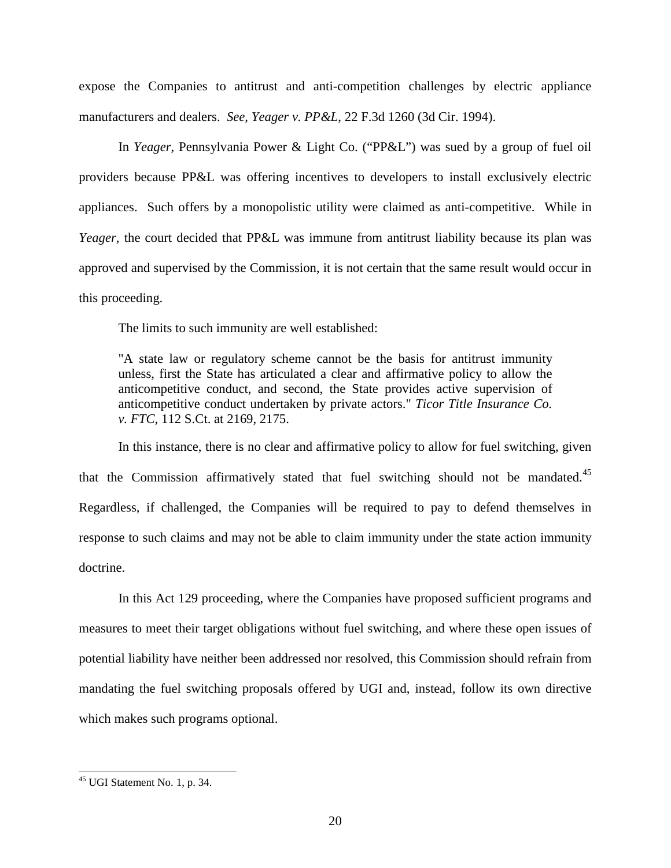<span id="page-24-0"></span>expose the Companies to antitrust and anti-competition challenges by electric appliance manufacturers and dealers. *See*, *Yeager v. PP&L*, 22 F.3d 1260 (3d Cir. 1994).

In *Yeager*, Pennsylvania Power & Light Co. ("PP&L") was sued by a group of fuel oil providers because PP&L was offering incentives to developers to install exclusively electric appliances. Such offers by a monopolistic utility were claimed as anti-competitive. While in *Yeager*, the court decided that PP&L was immune from antitrust liability because its plan was approved and supervised by the Commission, it is not certain that the same result would occur in this proceeding.

The limits to such immunity are well established:

"A state law or regulatory scheme cannot be the basis for antitrust immunity unless, first the State has articulated a clear and affirmative policy to allow the anticompetitive conduct, and second, the State provides active supervision of anticompetitive conduct undertaken by private actors." *Ticor Title Insurance Co. v. FTC*, 112 S.Ct. at 2169, 2175.

In this instance, there is no clear and affirmative policy to allow for fuel switching, given that the Commission affirmatively stated that fuel switching should not be mandated.<sup>[45](#page-27-0)</sup> Regardless, if challenged, the Companies will be required to pay to defend themselves in response to such claims and may not be able to claim immunity under the state action immunity doctrine.

In this Act 129 proceeding, where the Companies have proposed sufficient programs and measures to meet their target obligations without fuel switching, and where these open issues of potential liability have neither been addressed nor resolved, this Commission should refrain from mandating the fuel switching proposals offered by UGI and, instead, follow its own directive which makes such programs optional.

 <sup>45</sup> UGI Statement No. 1, p. 34.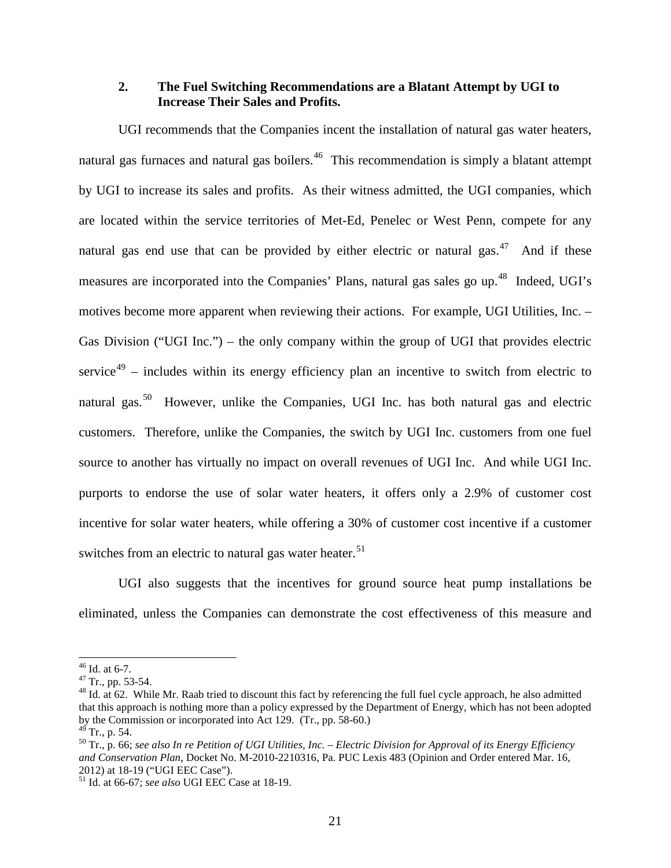### <span id="page-25-0"></span>**2. The Fuel Switching Recommendations are a Blatant Attempt by UGI to Increase Their Sales and Profits.**

UGI recommends that the Companies incent the installation of natural gas water heaters, natural gas furnaces and natural gas boilers.<sup>[46](#page-29-0)</sup> This recommendation is simply a blatant attempt by UGI to increase its sales and profits. As their witness admitted, the UGI companies, which are located within the service territories of Met-Ed, Penelec or West Penn, compete for any natural gas end use that can be provided by either electric or natural gas.<sup>[47](#page-29-0)</sup> And if these measures are incorporated into the Companies' Plans, natural gas sales go up.<sup>[48](#page-29-0)</sup> Indeed, UGI's motives become more apparent when reviewing their actions. For example, UGI Utilities, Inc. – Gas Division ("UGI Inc.") – the only company within the group of UGI that provides electric service<sup>[49](#page-29-0)</sup> – includes within its energy efficiency plan an incentive to switch from electric to natural gas.<sup>[50](#page-29-0)</sup> However, unlike the Companies, UGI Inc. has both natural gas and electric customers. Therefore, unlike the Companies, the switch by UGI Inc. customers from one fuel source to another has virtually no impact on overall revenues of UGI Inc. And while UGI Inc. purports to endorse the use of solar water heaters, it offers only a 2.9% of customer cost incentive for solar water heaters, while offering a 30% of customer cost incentive if a customer switches from an electric to natural gas water heater.<sup>[51](#page-29-0)</sup>

UGI also suggests that the incentives for ground source heat pump installations be eliminated, unless the Companies can demonstrate the cost effectiveness of this measure and

<sup>&</sup>lt;sup>46</sup> Id. at 6-7.<br><sup>47</sup> Tr., pp. 53-54.<br><sup>48</sup> Id. at 62. While Mr. Raab tried to discount this fact by referencing the full fuel cycle approach, he also admitted that this approach is nothing more than a policy expressed by the Department of Energy, which has not been adopted by the Commission or incorporated into Act 129. (Tr., pp. 58-60.)<br><sup>49</sup> Tr., p. 54.

<sup>49</sup> Tr., p. 54. <sup>50</sup> Tr., p. 66; *see also In re Petition of UGI Utilities, Inc. – Electric Division for Approval of its Energy Efficiency and Conservation Plan*, Docket No. M-2010-2210316, Pa. PUC Lexis 483 (Opinion and Order entered Mar. 16, 2012) at 18-19 ("UGI EEC Case").

<sup>&</sup>lt;sup>51</sup> Id. at 66-67; *see also* UGI EEC Case at 18-19.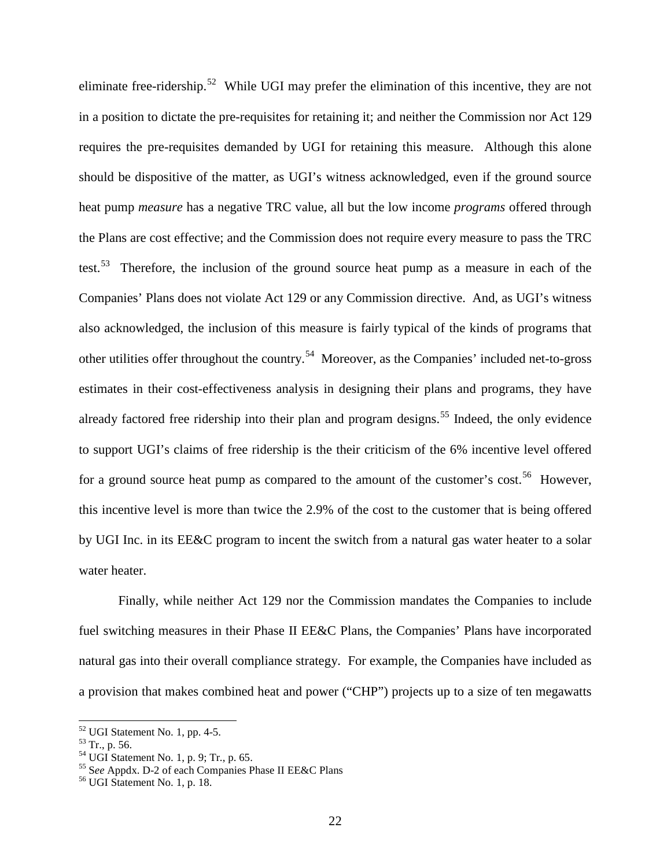<span id="page-26-0"></span>eliminate free-ridership.<sup>[52](#page-30-0)</sup> While UGI may prefer the elimination of this incentive, they are not in a position to dictate the pre-requisites for retaining it; and neither the Commission nor Act 129 requires the pre-requisites demanded by UGI for retaining this measure. Although this alone should be dispositive of the matter, as UGI's witness acknowledged, even if the ground source heat pump *measure* has a negative TRC value, all but the low income *programs* offered through the Plans are cost effective; and the Commission does not require every measure to pass the TRC test.<sup>[53](#page-30-0)</sup> Therefore, the inclusion of the ground source heat pump as a measure in each of the Companies' Plans does not violate Act 129 or any Commission directive. And, as UGI's witness also acknowledged, the inclusion of this measure is fairly typical of the kinds of programs that other utilities offer throughout the country.[54](#page-30-0) Moreover, as the Companies' included net-to-gross estimates in their cost-effectiveness analysis in designing their plans and programs, they have already factored free ridership into their plan and program designs.<sup>[55](#page-30-0)</sup> Indeed, the only evidence to support UGI's claims of free ridership is the their criticism of the 6% incentive level offered for a ground source heat pump as compared to the amount of the customer's cost.<sup>[56](#page-30-0)</sup> However, this incentive level is more than twice the 2.9% of the cost to the customer that is being offered by UGI Inc. in its EE&C program to incent the switch from a natural gas water heater to a solar water heater.

Finally, while neither Act 129 nor the Commission mandates the Companies to include fuel switching measures in their Phase II EE&C Plans, the Companies' Plans have incorporated natural gas into their overall compliance strategy. For example, the Companies have included as a provision that makes combined heat and power ("CHP") projects up to a size of ten megawatts

<sup>52</sup> UGI Statement No. 1, pp. 4-5. <sup>53</sup> Tr., p. 56. <sup>54</sup> UGI Statement No. 1, p. 9; Tr., p. 65. <sup>55</sup> <sup>S</sup>*ee* Appdx. D-2 of each Companies Phase II EE&C Plans <sup>56</sup> UGI Statement No. 1, p. 18.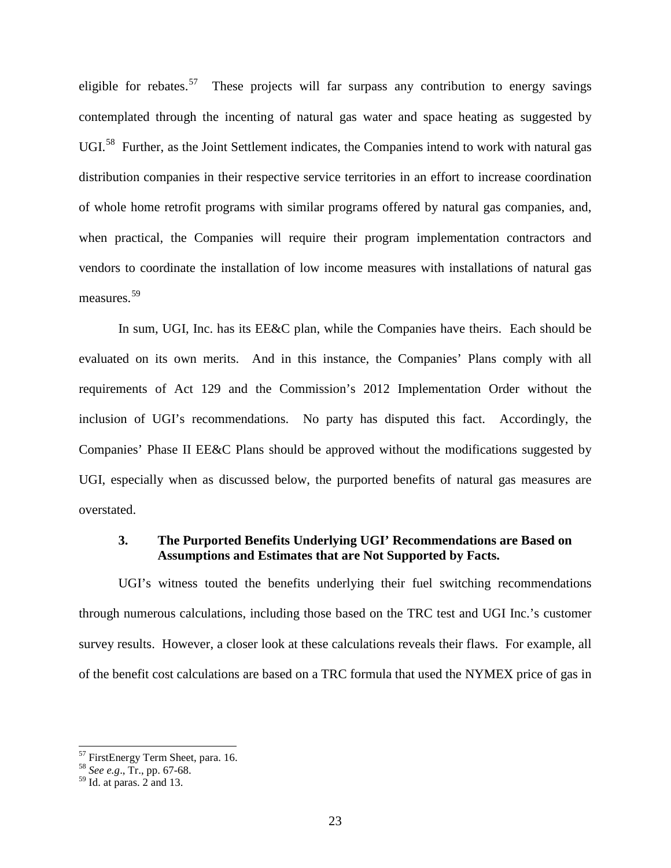<span id="page-27-0"></span>eligible for rebates.<sup>[57](#page-30-0)</sup> These projects will far surpass any contribution to energy savings contemplated through the incenting of natural gas water and space heating as suggested by UGI.<sup>[58](#page-30-0)</sup> Further, as the Joint Settlement indicates, the Companies intend to work with natural gas distribution companies in their respective service territories in an effort to increase coordination of whole home retrofit programs with similar programs offered by natural gas companies, and, when practical, the Companies will require their program implementation contractors and vendors to coordinate the installation of low income measures with installations of natural gas measures.[59](#page-30-0)

In sum, UGI, Inc. has its EE&C plan, while the Companies have theirs. Each should be evaluated on its own merits. And in this instance, the Companies' Plans comply with all requirements of Act 129 and the Commission's 2012 Implementation Order without the inclusion of UGI's recommendations. No party has disputed this fact. Accordingly, the Companies' Phase II EE&C Plans should be approved without the modifications suggested by UGI, especially when as discussed below, the purported benefits of natural gas measures are overstated.

### **3. The Purported Benefits Underlying UGI' Recommendations are Based on Assumptions and Estimates that are Not Supported by Facts.**

UGI's witness touted the benefits underlying their fuel switching recommendations through numerous calculations, including those based on the TRC test and UGI Inc.'s customer survey results. However, a closer look at these calculations reveals their flaws. For example, all of the benefit cost calculations are based on a TRC formula that used the NYMEX price of gas in

<sup>57</sup> FirstEnergy Term Sheet, para. 16. <sup>58</sup> *See e.g*., Tr., pp. 67-68.

 $59$  Id. at paras. 2 and 13.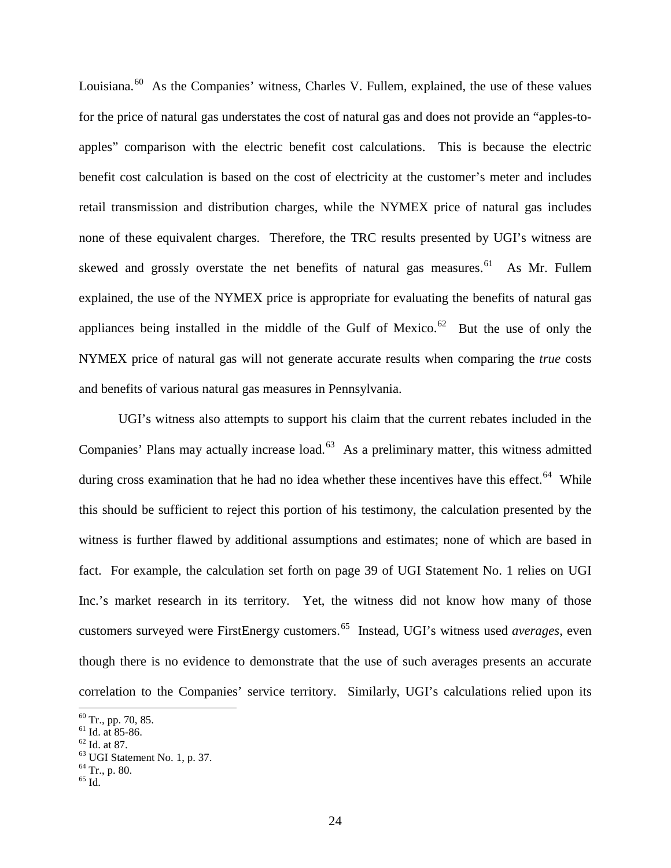Louisiana.<sup>[60](#page-30-0)</sup> As the Companies' witness, Charles V. Fullem, explained, the use of these values for the price of natural gas understates the cost of natural gas and does not provide an "apples-toapples" comparison with the electric benefit cost calculations. This is because the electric benefit cost calculation is based on the cost of electricity at the customer's meter and includes retail transmission and distribution charges, while the NYMEX price of natural gas includes none of these equivalent charges. Therefore, the TRC results presented by UGI's witness are skewed and grossly overstate the net benefits of natural gas measures.<sup>[61](#page-30-0)</sup> As Mr. Fullem explained, the use of the NYMEX price is appropriate for evaluating the benefits of natural gas appliances being installed in the middle of the Gulf of Mexico.<sup>[62](#page-30-0)</sup> But the use of only the NYMEX price of natural gas will not generate accurate results when comparing the *true* costs and benefits of various natural gas measures in Pennsylvania.

UGI's witness also attempts to support his claim that the current rebates included in the Companies' Plans may actually increase load.<sup>[63](#page-30-0)</sup> As a preliminary matter, this witness admitted during cross examination that he had no idea whether these incentives have this effect.<sup>[64](#page-30-0)</sup> While this should be sufficient to reject this portion of his testimony, the calculation presented by the witness is further flawed by additional assumptions and estimates; none of which are based in fact. For example, the calculation set forth on page 39 of UGI Statement No. 1 relies on UGI Inc.'s market research in its territory. Yet, the witness did not know how many of those customers surveyed were FirstEnergy customers.[65](#page-30-0) Instead, UGI's witness used *averages*, even though there is no evidence to demonstrate that the use of such averages presents an accurate correlation to the Companies' service territory. Similarly, UGI's calculations relied upon its

<sup>&</sup>lt;sup>60</sup> Tr., pp. 70, 85.<br><sup>61</sup> Id. at 85-86.<br><sup>62</sup> Id. at 87.<br><sup>63</sup> UGI Statement No. 1, p. 37.<br><sup>64</sup> Tr., p. 80.<br><sup>65</sup> Id.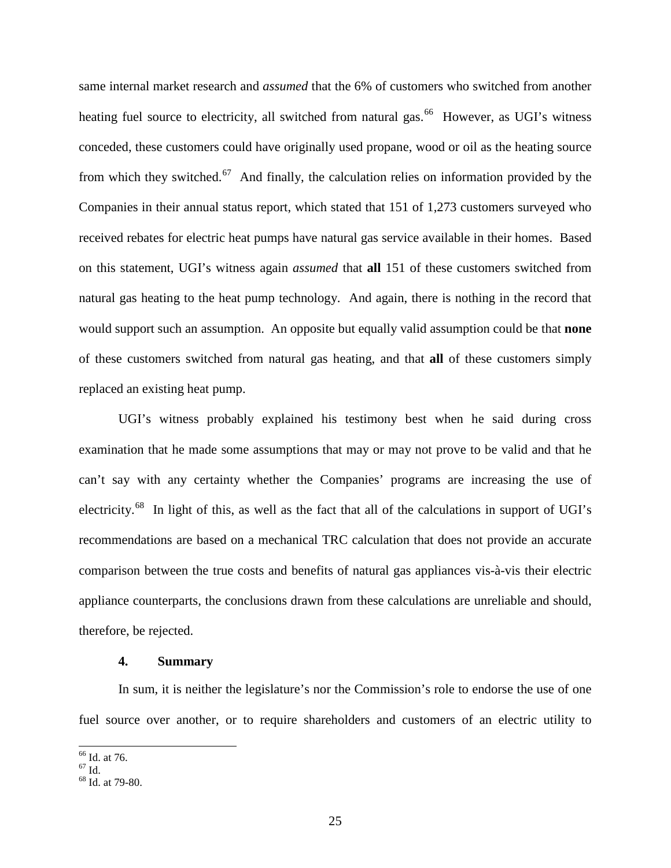<span id="page-29-0"></span>same internal market research and *assumed* that the 6% of customers who switched from another heating fuel source to electricity, all switched from natural gas.<sup>[66](#page-30-0)</sup> However, as UGI's witness conceded, these customers could have originally used propane, wood or oil as the heating source from which they switched.<sup>[67](#page-30-0)</sup> And finally, the calculation relies on information provided by the Companies in their annual status report, which stated that 151 of 1,273 customers surveyed who received rebates for electric heat pumps have natural gas service available in their homes. Based on this statement, UGI's witness again *assumed* that **all** 151 of these customers switched from natural gas heating to the heat pump technology. And again, there is nothing in the record that would support such an assumption. An opposite but equally valid assumption could be that **none** of these customers switched from natural gas heating, and that **all** of these customers simply replaced an existing heat pump.

UGI's witness probably explained his testimony best when he said during cross examination that he made some assumptions that may or may not prove to be valid and that he can't say with any certainty whether the Companies' programs are increasing the use of electricity.[68](#page-30-0) In light of this, as well as the fact that all of the calculations in support of UGI's recommendations are based on a mechanical TRC calculation that does not provide an accurate comparison between the true costs and benefits of natural gas appliances vis-à-vis their electric appliance counterparts, the conclusions drawn from these calculations are unreliable and should, therefore, be rejected.

#### **4. Summary**

In sum, it is neither the legislature's nor the Commission's role to endorse the use of one fuel source over another, or to require shareholders and customers of an electric utility to

 $\frac{66}{67}$  Id. at 76.<br> $\frac{67}{68}$  Id. at 79-80.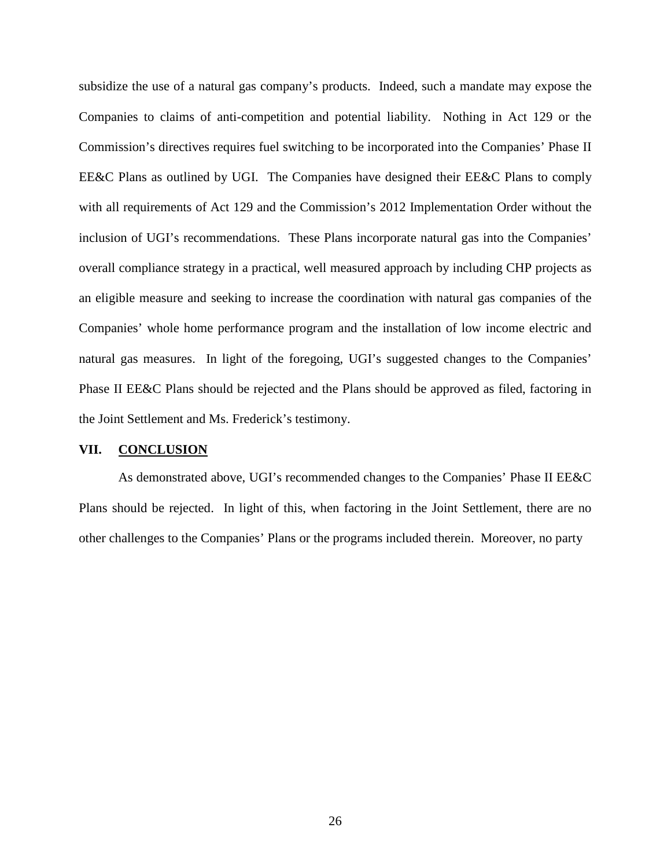<span id="page-30-0"></span>subsidize the use of a natural gas company's products. Indeed, such a mandate may expose the Companies to claims of anti-competition and potential liability. Nothing in Act 129 or the Commission's directives requires fuel switching to be incorporated into the Companies' Phase II EE&C Plans as outlined by UGI. The Companies have designed their EE&C Plans to comply with all requirements of Act 129 and the Commission's 2012 Implementation Order without the inclusion of UGI's recommendations. These Plans incorporate natural gas into the Companies' overall compliance strategy in a practical, well measured approach by including CHP projects as an eligible measure and seeking to increase the coordination with natural gas companies of the Companies' whole home performance program and the installation of low income electric and natural gas measures. In light of the foregoing, UGI's suggested changes to the Companies' Phase II EE&C Plans should be rejected and the Plans should be approved as filed, factoring in the Joint Settlement and Ms. Frederick's testimony.

#### **VII. CONCLUSION**

As demonstrated above, UGI's recommended changes to the Companies' Phase II EE&C Plans should be rejected. In light of this, when factoring in the Joint Settlement, there are no other challenges to the Companies' Plans or the programs included therein. Moreover, no party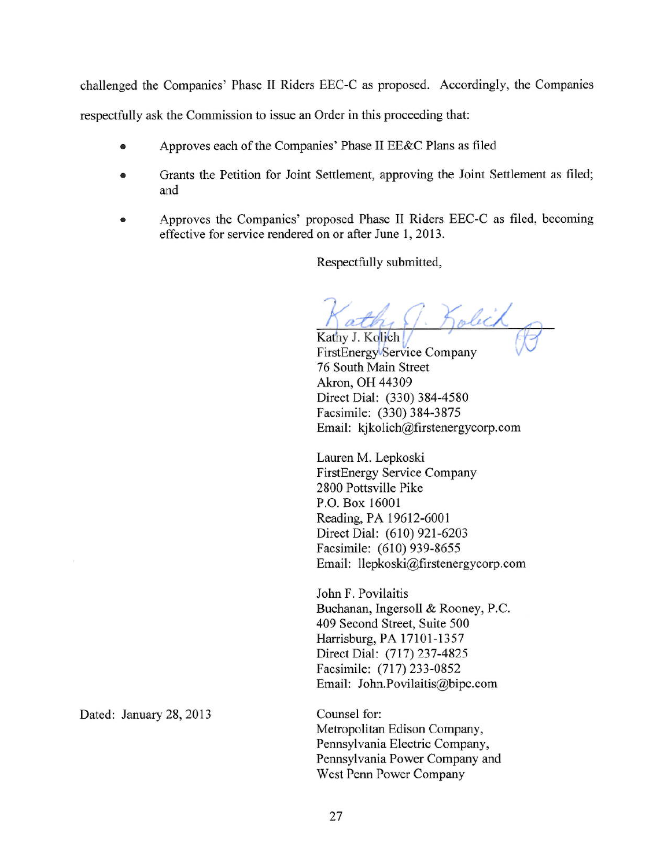challenged the Companies' Phase II Riders EEC-C as proposed. Accordingly, the Companies

respectfully ask the Commission to issue an Order in this proceeding that:

- Approves each of the Companies' Phase II EE&C Plans as filed  $\bullet$
- Grants the Petition for Joint Settlement, approving the Joint Settlement as filed; ò and
- Approves the Companies' proposed Phase II Riders EEC-C as filed, becoming  $\bullet$ effective for service rendered on or after June 1, 2013.

Respectfully submitted,

Solich

Kathy J. Kolich FirstEnergy Service Company 76 South Main Street Akron, OH 44309 Direct Dial: (330) 384-4580 Facsimile: (330) 384-3875 Email: kjkolich@firstenergycorp.com

Lauren M. Lepkoski **FirstEnergy Service Company** 2800 Pottsville Pike P.O. Box 16001 Reading, PA 19612-6001 Direct Dial: (610) 921-6203 Facsimile: (610) 939-8655 Email: llepkoski@firstenergycorp.com

John F. Povilaitis Buchanan, Ingersoll & Rooney, P.C. 409 Second Street, Suite 500 Harrisburg, PA 17101-1357 Direct Dial: (717) 237-4825 Facsimile: (717) 233-0852 Email: John.Povilaitis@bipc.com

Counsel for: Metropolitan Edison Company, Pennsylvania Electric Company, Pennsylvania Power Company and West Penn Power Company

Dated: January 28, 2013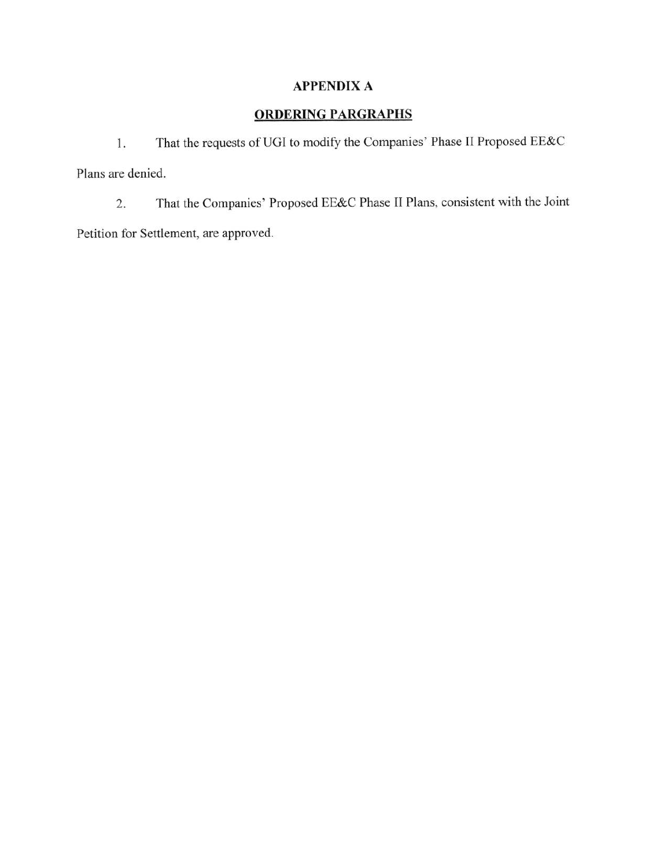## **APPENDIX A**

## **ORDERING PARGRAPHS**

That the requests of UGI to modify the Companies' Phase II Proposed EE&C 1. Plans are denied.

That the Companies' Proposed EE&C Phase II Plans, consistent with the Joint  $2.$ Petition for Settlement, are approved.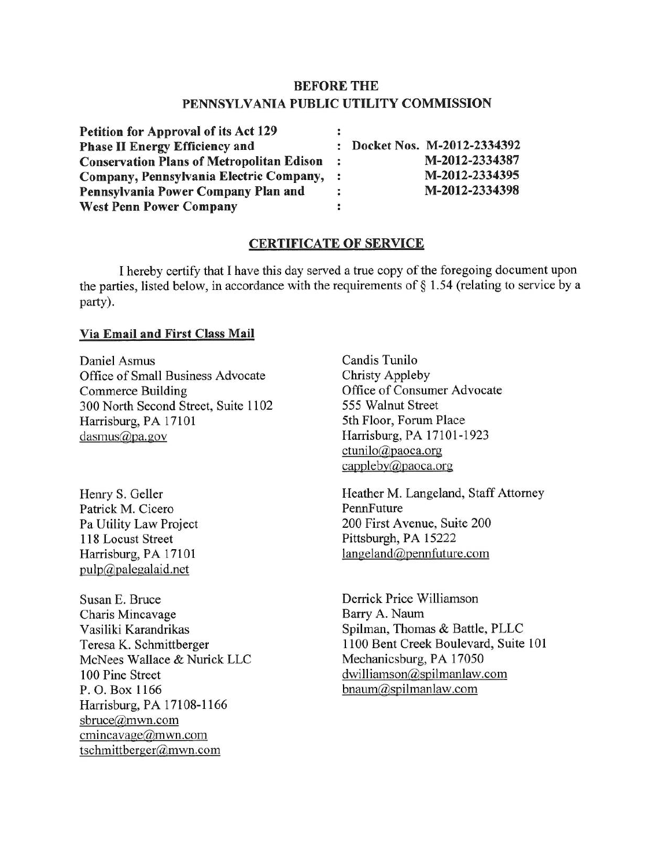## **BEFORE THE** PENNSYLVANIA PUBLIC UTILITY COMMISSION

| <b>Petition for Approval of its Act 129</b>      |                |                              |
|--------------------------------------------------|----------------|------------------------------|
| <b>Phase II Energy Efficiency and</b>            |                | : Docket Nos. M-2012-2334392 |
| <b>Conservation Plans of Metropolitan Edison</b> |                | M-2012-2334387               |
| Company, Pennsylvania Electric Company,          | $\ddot{\cdot}$ | M-2012-2334395               |
| Pennsylvania Power Company Plan and              |                | M-2012-2334398               |
| <b>West Penn Power Company</b>                   |                |                              |

### **CERTIFICATE OF SERVICE**

I hereby certify that I have this day served a true copy of the foregoing document upon the parties, listed below, in accordance with the requirements of  $\S$  1.54 (relating to service by a party).

#### Via Email and First Class Mail

Daniel Asmus Office of Small Business Advocate **Commerce Building** 300 North Second Street, Suite 1102 Harrisburg, PA 17101 dasmus@pa.gov

Henry S. Geller Patrick M. Cicero Pa Utility Law Project 118 Locust Street Harrisburg, PA 17101  $pulp@palegalaid.net$ 

Susan E. Bruce Charis Mincavage Vasiliki Karandrikas Teresa K. Schmittberger McNees Wallace & Nurick LLC 100 Pine Street P.O. Box 1166 Harrisburg, PA 17108-1166 sbruce@mwn.com cmincavage@mwn.com tschmittberger@mwn.com

Candis Tunilo **Christy Appleby** Office of Consumer Advocate 555 Walnut Street 5th Floor, Forum Place Harrisburg, PA 17101-1923 ctunilo@paoca.org cappleby@paoca.org

Heather M. Langeland, Staff Attorney PennFuture 200 First Avenue, Suite 200 Pittsburgh, PA 15222  $langeland@pennfuture.com$ 

Derrick Price Williamson Barry A. Naum Spilman, Thomas & Battle, PLLC 1100 Bent Creek Boulevard, Suite 101 Mechanicsburg, PA 17050 dwilliamson@spilmanlaw.com bnaum@spilmanlaw.com